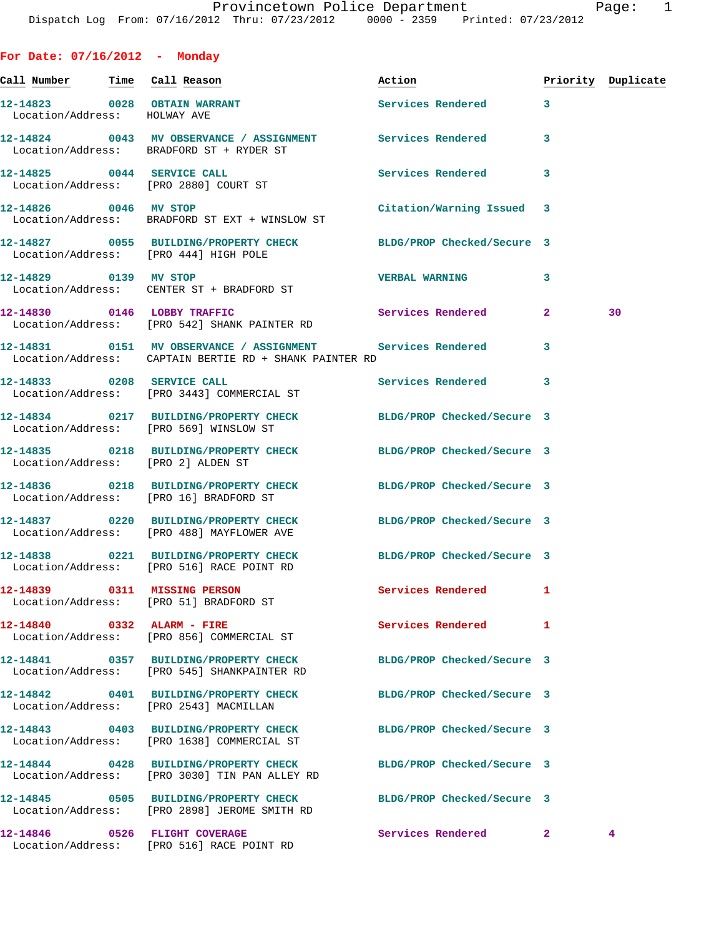**For Date: 07/16/2012 - Monday**

| Call Number Time Call Reason |                                                                                                                      | Action                     |              | Priority Duplicate |
|------------------------------|----------------------------------------------------------------------------------------------------------------------|----------------------------|--------------|--------------------|
| Location/Address: HOLWAY AVE | 12-14823 0028 OBTAIN WARRANT                                                                                         | Services Rendered          | $\mathbf{3}$ |                    |
|                              | 12-14824 0043 MV OBSERVANCE / ASSIGNMENT Services Rendered<br>Location/Address: BRADFORD ST + RYDER ST               |                            | 3            |                    |
|                              | 12-14825 0044 SERVICE CALL<br>Location/Address: [PRO 2880] COURT ST                                                  | Services Rendered          | 3            |                    |
| 12-14826 0046 MV STOP        | Location/Address: BRADFORD ST EXT + WINSLOW ST                                                                       | Citation/Warning Issued 3  |              |                    |
|                              | 12-14827 0055 BUILDING/PROPERTY CHECK BLDG/PROP Checked/Secure 3<br>Location/Address: [PRO 444] HIGH POLE            |                            |              |                    |
| 12-14829 0139 MV STOP        | Location/Address: CENTER ST + BRADFORD ST                                                                            | <b>VERBAL WARNING</b>      | 3            |                    |
|                              | 12-14830 0146 LOBBY TRAFFIC<br>Location/Address: [PRO 542] SHANK PAINTER RD                                          | Services Rendered          | $\mathbf{2}$ | 30                 |
|                              | 12-14831 0151 MV OBSERVANCE / ASSIGNMENT Services Rendered<br>Location/Address: CAPTAIN BERTIE RD + SHANK PAINTER RD |                            | 3            |                    |
|                              | 12-14833 0208 SERVICE CALL<br>Location/Address: [PRO 3443] COMMERCIAL ST                                             | Services Rendered          | 3            |                    |
|                              | 12-14834 0217 BUILDING/PROPERTY CHECK BLDG/PROP Checked/Secure 3<br>Location/Address: [PRO 569] WINSLOW ST           |                            |              |                    |
|                              | 12-14835 0218 BUILDING/PROPERTY CHECK BLDG/PROP Checked/Secure 3<br>Location/Address: [PRO 2] ALDEN ST               |                            |              |                    |
|                              | 12-14836 0218 BUILDING/PROPERTY CHECK BLDG/PROP Checked/Secure 3<br>Location/Address: [PRO 16] BRADFORD ST           |                            |              |                    |
|                              | 12-14837 0220 BUILDING/PROPERTY CHECK BLDG/PROP Checked/Secure 3<br>Location/Address: [PRO 488] MAYFLOWER AVE        |                            |              |                    |
|                              | 12-14838 0221 BUILDING/PROPERTY CHECK BLDG/PROP Checked/Secure 3<br>Location/Address: [PRO 516] RACE POINT RD        |                            |              |                    |
|                              | 12-14839 0311 MISSING PERSON<br>Location/Address: [PRO 51] BRADFORD ST                                               | <b>Services Rendered</b> 1 |              |                    |
| 12-14840 0332 ALARM - FIRE   | Location/Address: [PRO 856] COMMERCIAL ST                                                                            | Services Rendered          | 1            |                    |
|                              | 12-14841 0357 BUILDING/PROPERTY CHECK<br>Location/Address: [PRO 545] SHANKPAINTER RD                                 | BLDG/PROP Checked/Secure 3 |              |                    |
|                              | 12-14842 0401 BUILDING/PROPERTY CHECK<br>Location/Address: [PRO 2543] MACMILLAN                                      | BLDG/PROP Checked/Secure 3 |              |                    |
|                              | 12-14843 0403 BUILDING/PROPERTY CHECK<br>Location/Address: [PRO 1638] COMMERCIAL ST                                  | BLDG/PROP Checked/Secure 3 |              |                    |
|                              | 12-14844 0428 BUILDING/PROPERTY CHECK<br>Location/Address: [PRO 3030] TIN PAN ALLEY RD                               | BLDG/PROP Checked/Secure 3 |              |                    |
|                              | 12-14845 0505 BUILDING/PROPERTY CHECK<br>Location/Address: [PRO 2898] JEROME SMITH RD                                | BLDG/PROP Checked/Secure 3 |              |                    |
|                              | 12-14846  0526 FLIGHT COVERAGE<br>Location/Address: [PRO 516] RACE POINT RD                                          | Services Rendered 2        |              | $4^{\circ}$        |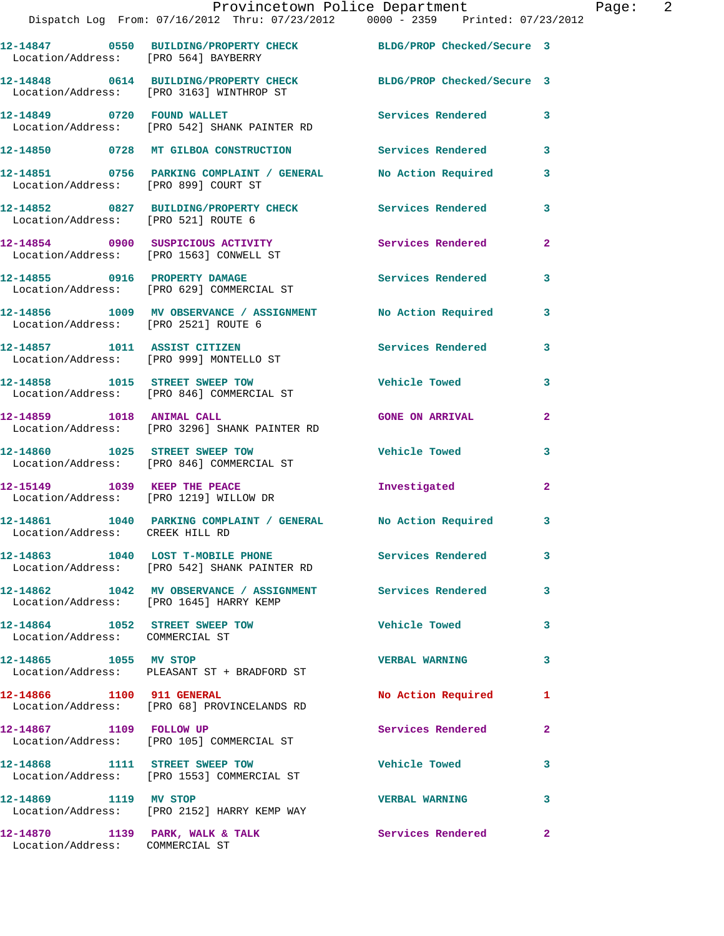|                                                                    | Provincetown Police Department<br>Dispatch Log From: 07/16/2012 Thru: 07/23/2012 0000 - 2359 Printed: 07/23/2012 |                          |              |
|--------------------------------------------------------------------|------------------------------------------------------------------------------------------------------------------|--------------------------|--------------|
| Location/Address: [PRO 564] BAYBERRY                               | 12-14847 0550 BUILDING/PROPERTY CHECK BLDG/PROP Checked/Secure 3                                                 |                          |              |
|                                                                    | 12-14848 0614 BUILDING/PROPERTY CHECK BLDG/PROP Checked/Secure 3<br>Location/Address: [PRO 3163] WINTHROP ST     |                          |              |
|                                                                    | 12-14849 0720 FOUND WALLET<br>Location/Address: [PRO 542] SHANK PAINTER RD                                       | <b>Services Rendered</b> | 3            |
|                                                                    | 12-14850 0728 MT GILBOA CONSTRUCTION Services Rendered                                                           |                          | 3            |
| Location/Address: [PRO 899] COURT ST                               | 12-14851 0756 PARKING COMPLAINT / GENERAL                                                                        | No Action Required       | 3            |
| Location/Address: [PRO 521] ROUTE 6                                | 12-14852 0827 BUILDING/PROPERTY CHECK Services Rendered                                                          |                          | 3            |
|                                                                    | 12-14854 0900 SUSPICIOUS ACTIVITY<br>Location/Address: [PRO 1563] CONWELL ST                                     | <b>Services Rendered</b> | $\mathbf{2}$ |
|                                                                    | 12-14855 0916 PROPERTY DAMAGE<br>Location/Address: [PRO 629] COMMERCIAL ST                                       | <b>Services Rendered</b> | 3            |
| Location/Address: [PRO 2521] ROUTE 6                               | 12-14856 1009 MV OBSERVANCE / ASSIGNMENT No Action Required                                                      |                          | 3            |
|                                                                    | 12-14857 1011 ASSIST CITIZEN<br>Location/Address: [PRO 999] MONTELLO ST                                          | <b>Services Rendered</b> | 3            |
|                                                                    | 12-14858 1015 STREET SWEEP TOW<br>Location/Address: [PRO 846] COMMERCIAL ST                                      | <b>Vehicle Towed</b>     | 3            |
| 12-14859 1018 ANIMAL CALL                                          | Location/Address: [PRO 3296] SHANK PAINTER RD                                                                    | <b>GONE ON ARRIVAL</b>   | $\mathbf{2}$ |
|                                                                    | 12-14860 1025 STREET SWEEP TOW<br>Location/Address: [PRO 846] COMMERCIAL ST                                      | <b>Vehicle Towed</b>     | 3            |
|                                                                    | 12-15149 1039 KEEP THE PEACE<br>Location/Address: [PRO 1219] WILLOW DR                                           | Investigated             | $\mathbf{2}$ |
| Location/Address: CREEK HILL RD                                    | 12-14861 1040 PARKING COMPLAINT / GENERAL No Action Required                                                     |                          | 3            |
|                                                                    | 12-14863 1040 LOST T-MOBILE PHONE Services Rendered<br>Location/Address: [PRO 542] SHANK PAINTER RD              |                          | 3            |
| Location/Address: [PRO 1645] HARRY KEMP                            | 12-14862 1042 MV OBSERVANCE / ASSIGNMENT Services Rendered                                                       |                          | 3            |
| 12-14864 1052 STREET SWEEP TOW<br>Location/Address: COMMERCIAL ST  |                                                                                                                  | <b>Vehicle Towed</b>     | 3            |
| 12-14865 1055 MV STOP                                              | Location/Address: PLEASANT ST + BRADFORD ST                                                                      | <b>VERBAL WARNING</b>    | 3            |
| 12-14866 1100 911 GENERAL                                          | Location/Address: [PRO 68] PROVINCELANDS RD                                                                      | No Action Required       | 1            |
| 12-14867 1109 FOLLOW UP                                            | Location/Address: [PRO 105] COMMERCIAL ST                                                                        | Services Rendered        | $\mathbf{2}$ |
|                                                                    | 12-14868 1111 STREET SWEEP TOW<br>Location/Address: [PRO 1553] COMMERCIAL ST                                     | <b>Vehicle Towed</b>     | 3            |
| 12-14869 1119 MV STOP                                              | Location/Address: [PRO 2152] HARRY KEMP WAY                                                                      | <b>VERBAL WARNING</b>    | 3            |
| 12-14870 1139 PARK, WALK & TALK<br>Location/Address: COMMERCIAL ST |                                                                                                                  | Services Rendered        | $\mathbf{2}$ |

Page:  $2$ <br> $2^{12}$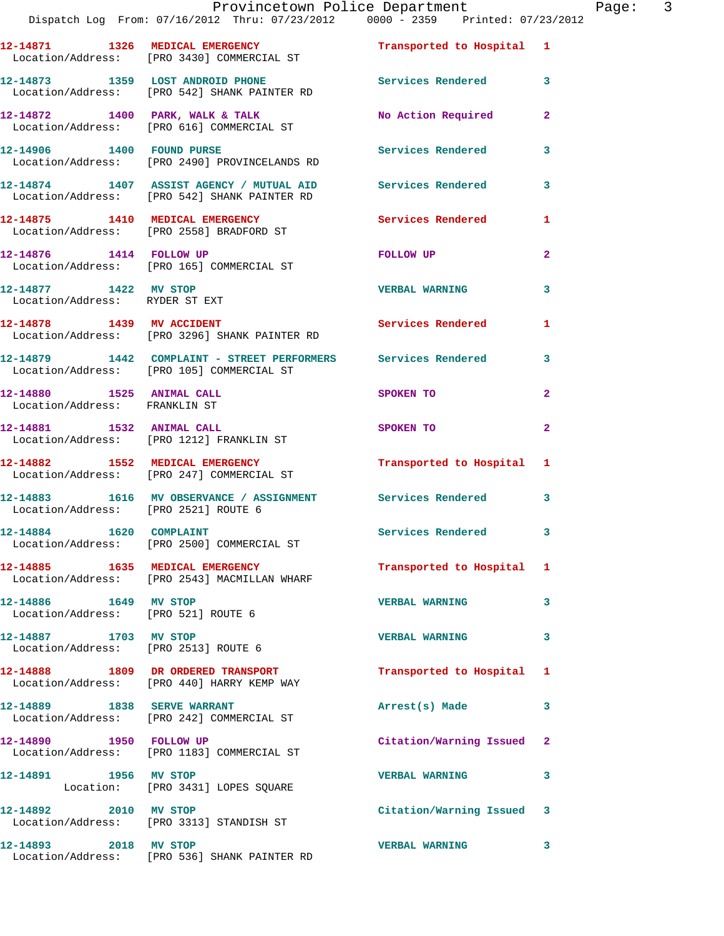|                                                               | Provincetown Police Department<br>Dispatch Log From: 07/16/2012 Thru: 07/23/2012 0000 - 2359 Printed: 07/23/2012 |                           |                         |
|---------------------------------------------------------------|------------------------------------------------------------------------------------------------------------------|---------------------------|-------------------------|
|                                                               | 12-14871 1326 MEDICAL EMERGENCY<br>Location/Address: [PRO 3430] COMMERCIAL ST                                    | Transported to Hospital 1 |                         |
|                                                               | 12-14873 1359 LOST ANDROID PHONE<br>Location/Address: [PRO 542] SHANK PAINTER RD                                 | Services Rendered         | 3                       |
|                                                               | 12-14872 1400 PARK, WALK & TALK<br>Location/Address: [PRO 616] COMMERCIAL ST                                     | No Action Required        | $\overline{2}$          |
| 12-14906   1400   FOUND PURSE                                 | Location/Address: [PRO 2490] PROVINCELANDS RD                                                                    | <b>Services Rendered</b>  | 3                       |
|                                                               | 12-14874 1407 ASSIST AGENCY / MUTUAL AID<br>Location/Address: [PRO 542] SHANK PAINTER RD                         | <b>Services Rendered</b>  | 3                       |
|                                                               | 12-14875 1410 MEDICAL EMERGENCY<br>Location/Address: [PRO 2558] BRADFORD ST                                      | <b>Services Rendered</b>  | 1                       |
| 12-14876   1414   FOLLOW UP                                   | Location/Address: [PRO 165] COMMERCIAL ST                                                                        | FOLLOW UP                 | $\overline{\mathbf{2}}$ |
| 12-14877 1422 MV STOP<br>Location/Address: RYDER ST EXT       |                                                                                                                  | <b>VERBAL WARNING</b>     | 3                       |
| 12-14878 1439 MV ACCIDENT                                     | Location/Address: [PRO 3296] SHANK PAINTER RD                                                                    | Services Rendered         | 1                       |
|                                                               | 12-14879 1442 COMPLAINT - STREET PERFORMERS Services Rendered<br>Location/Address: [PRO 105] COMMERCIAL ST       |                           | 3                       |
| 12-14880 1525 ANIMAL CALL<br>Location/Address: FRANKLIN ST    |                                                                                                                  | SPOKEN TO                 | $\mathbf{2}$            |
|                                                               | 12-14881 1532 ANIMAL CALL<br>Location/Address: [PRO 1212] FRANKLIN ST                                            | SPOKEN TO                 | $\mathbf{2}$            |
|                                                               | 12-14882 1552 MEDICAL EMERGENCY<br>Location/Address: [PRO 247] COMMERCIAL ST                                     | Transported to Hospital   | 1                       |
| Location/Address: [PRO 2521] ROUTE 6                          | 12-14883 1616 MV OBSERVANCE / ASSIGNMENT Services Rendered                                                       |                           | 3                       |
| 12-14884 1620 COMPLAINT                                       | Location/Address: [PRO 2500] COMMERCIAL ST                                                                       | <b>Services Rendered</b>  |                         |
|                                                               | 12-14885 1635 MEDICAL EMERGENCY<br>Location/Address: [PRO 2543] MACMILLAN WHARF                                  | Transported to Hospital   | 1                       |
| 12-14886 1649 MV STOP<br>Location/Address: [PRO 521] ROUTE 6  |                                                                                                                  | <b>VERBAL WARNING</b>     | 3                       |
| 12-14887 1703 MV STOP<br>Location/Address: [PRO 2513] ROUTE 6 |                                                                                                                  | <b>VERBAL WARNING</b>     | 3                       |
|                                                               | 12-14888 1809 DR ORDERED TRANSPORT<br>Location/Address: [PRO 440] HARRY KEMP WAY                                 | Transported to Hospital   | 1                       |
|                                                               | 12-14889 1838 SERVE WARRANT<br>Location/Address: [PRO 242] COMMERCIAL ST                                         | Arrest(s) Made            | 3                       |
| 12-14890 1950 FOLLOW UP                                       | Location/Address: [PRO 1183] COMMERCIAL ST                                                                       | Citation/Warning Issued   | 2                       |
| 12-14891 1956 MV STOP                                         | Location: [PRO 3431] LOPES SQUARE                                                                                | <b>VERBAL WARNING</b>     | 3                       |
| 12-14892 2010 MV STOP                                         | Location/Address: [PRO 3313] STANDISH ST                                                                         | Citation/Warning Issued   | 3                       |
| 12-14893 2018 MV STOP                                         |                                                                                                                  | <b>VERBAL WARNING</b>     | 3                       |

Location/Address: [PRO 536] SHANK PAINTER RD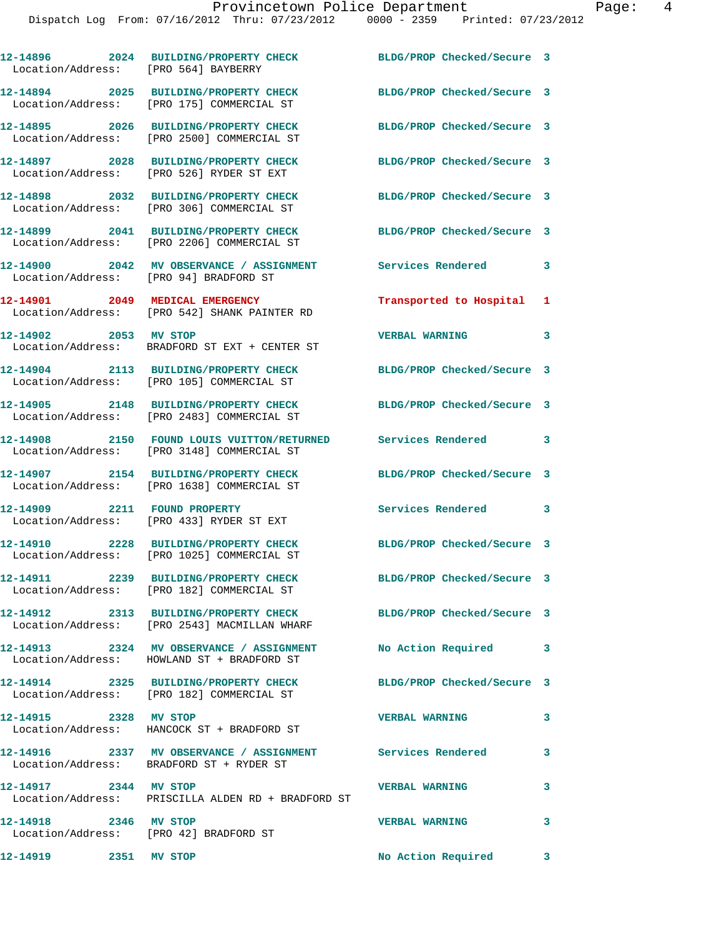| Location/Address: [PRO 564] BAYBERRY                            | 12-14896 2024 BUILDING/PROPERTY CHECK                                                                  | BLDG/PROP Checked/Secure 3 |                         |
|-----------------------------------------------------------------|--------------------------------------------------------------------------------------------------------|----------------------------|-------------------------|
|                                                                 | 12-14894 2025 BUILDING/PROPERTY CHECK<br>Location/Address: [PRO 175] COMMERCIAL ST                     | BLDG/PROP Checked/Secure 3 |                         |
|                                                                 | 12-14895 2026 BUILDING/PROPERTY CHECK<br>Location/Address: [PRO 2500] COMMERCIAL ST                    | BLDG/PROP Checked/Secure 3 |                         |
|                                                                 | 12-14897 2028 BUILDING/PROPERTY CHECK<br>Location/Address: [PRO 526] RYDER ST EXT                      | BLDG/PROP Checked/Secure 3 |                         |
|                                                                 | 12-14898 2032 BUILDING/PROPERTY CHECK<br>Location/Address: [PRO 306] COMMERCIAL ST                     | BLDG/PROP Checked/Secure 3 |                         |
|                                                                 | 12-14899  2041 BUILDING/PROPERTY CHECK<br>Location/Address: [PRO 2206] COMMERCIAL ST                   | BLDG/PROP Checked/Secure 3 |                         |
| Location/Address: [PRO 94] BRADFORD ST                          | 12-14900 2042 MV OBSERVANCE / ASSIGNMENT                                                               | Services Rendered          | 3                       |
|                                                                 | 12-14901 2049 MEDICAL EMERGENCY<br>Location/Address: [PRO 542] SHANK PAINTER RD                        | Transported to Hospital 1  |                         |
| 12-14902 2053 MV STOP                                           | Location/Address: BRADFORD ST EXT + CENTER ST                                                          | <b>VERBAL WARNING</b>      | 3                       |
|                                                                 | 12-14904 2113 BUILDING/PROPERTY CHECK<br>Location/Address: [PRO 105] COMMERCIAL ST                     | BLDG/PROP Checked/Secure 3 |                         |
|                                                                 | 12-14905 2148 BUILDING/PROPERTY CHECK<br>Location/Address: [PRO 2483] COMMERCIAL ST                    | BLDG/PROP Checked/Secure 3 |                         |
| 12-14908                                                        | 2150 FOUND LOUIS VUITTON/RETURNED Services Rendered 3<br>Location/Address: [PRO 3148] COMMERCIAL ST    |                            |                         |
|                                                                 | 12-14907 2154 BUILDING/PROPERTY CHECK<br>Location/Address: [PRO 1638] COMMERCIAL ST                    | BLDG/PROP Checked/Secure 3 |                         |
| 12-14909 2211 FOUND PROPERTY                                    | Location/Address: [PRO 433] RYDER ST EXT                                                               | Services Rendered 3        |                         |
|                                                                 | 12-14910 2228 BUILDING/PROPERTY CHECK<br>Location/Address: [PRO 1025] COMMERCIAL ST                    | BLDG/PROP Checked/Secure 3 |                         |
|                                                                 | 12-14911 2239 BUILDING/PROPERTY CHECK<br>Location/Address: [PRO 182] COMMERCIAL ST                     | BLDG/PROP Checked/Secure 3 |                         |
|                                                                 | 12-14912 2313 BUILDING/PROPERTY CHECK<br>Location/Address: [PRO 2543] MACMILLAN WHARF                  | BLDG/PROP Checked/Secure 3 |                         |
|                                                                 | 12-14913 2324 MV OBSERVANCE / ASSIGNMENT<br>Location/Address: HOWLAND ST + BRADFORD ST                 | No Action Required         | $\overline{\mathbf{3}}$ |
|                                                                 | 12-14914 2325 BUILDING/PROPERTY CHECK<br>Location/Address: [PRO 182] COMMERCIAL ST                     | BLDG/PROP Checked/Secure 3 |                         |
| 12-14915 2328 MV STOP                                           | Location/Address: HANCOCK ST + BRADFORD ST                                                             | <b>VERBAL WARNING</b>      | $\mathbf{3}$            |
|                                                                 | 12-14916 2337 MV OBSERVANCE / ASSIGNMENT Services Rendered<br>Location/Address: BRADFORD ST + RYDER ST |                            | 3                       |
| 12-14917 2344 MV STOP                                           | Location/Address: PRISCILLA ALDEN RD + BRADFORD ST                                                     | <b>VERBAL WARNING</b>      | $\mathbf{3}$            |
| 12-14918 2346 MV STOP<br>Location/Address: [PRO 42] BRADFORD ST |                                                                                                        | <b>VERBAL WARNING</b>      | $\mathbf{3}$            |
| 12-14919 2351 MV STOP                                           |                                                                                                        | No Action Required 3       |                         |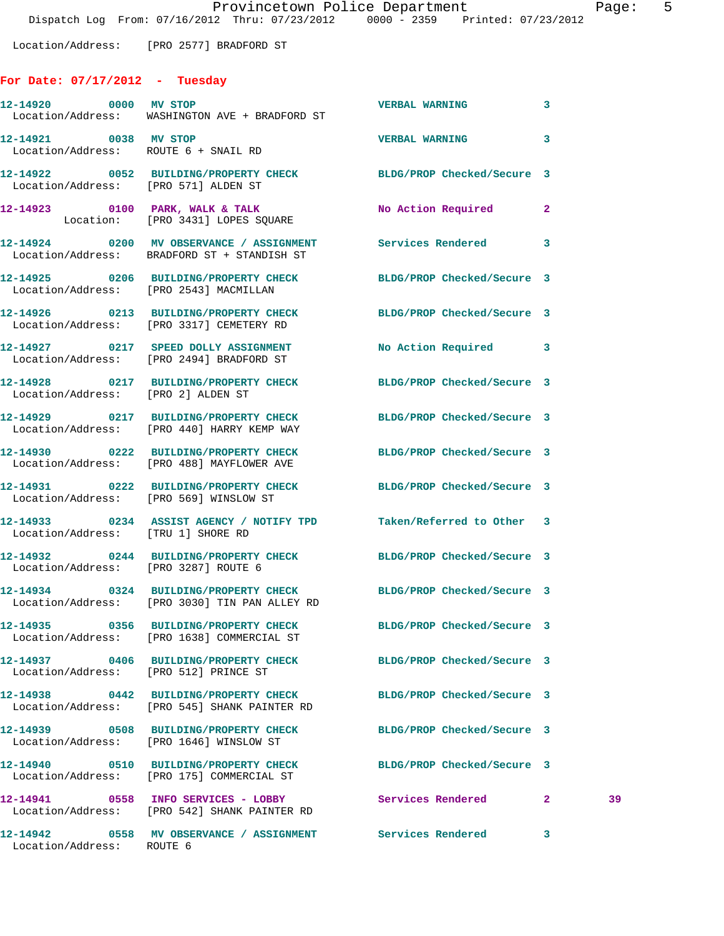## **For Date: 07/17/2012 - Tuesday**

| 12-14920 0000 MV STOP                 | Location/Address: WASHINGTON AVE + BRADFORD ST                                                                    | <b>VERBAL WARNING</b>      | 3            |    |
|---------------------------------------|-------------------------------------------------------------------------------------------------------------------|----------------------------|--------------|----|
| 12-14921 0038 MV STOP                 | Location/Address: ROUTE 6 + SNAIL RD                                                                              | VERBAL WARNING 3           |              |    |
| Location/Address: [PRO 571] ALDEN ST  | 12-14922 0052 BUILDING/PROPERTY CHECK BLDG/PROP Checked/Secure 3                                                  |                            |              |    |
|                                       | 12-14923 0100 PARK, WALK & TALK<br>Location: [PRO 3431] LOPES SQUARE                                              | No Action Required 2       |              |    |
|                                       | 12-14924 0200 MV OBSERVANCE / ASSIGNMENT Services Rendered 3<br>Location/Address: BRADFORD ST + STANDISH ST       |                            |              |    |
|                                       | 12-14925 0206 BUILDING/PROPERTY CHECK BLDG/PROP Checked/Secure 3<br>Location/Address: [PRO 2543] MACMILLAN        |                            |              |    |
|                                       | 12-14926 0213 BUILDING/PROPERTY CHECK BLDG/PROP Checked/Secure 3<br>Location/Address: [PRO 3317] CEMETERY RD      |                            |              |    |
|                                       | 12-14927 0217 SPEED DOLLY ASSIGNMENT<br>Location/Address: [PRO 2494] BRADFORD ST                                  | No Action Required 3       |              |    |
| Location/Address: [PRO 2] ALDEN ST    | 12-14928 0217 BUILDING/PROPERTY CHECK BLDG/PROP Checked/Secure 3                                                  |                            |              |    |
|                                       | 12-14929 0217 BUILDING/PROPERTY CHECK BLDG/PROP Checked/Secure 3<br>Location/Address: [PRO 440] HARRY KEMP WAY    |                            |              |    |
|                                       | 12-14930 0222 BUILDING/PROPERTY CHECK BLDG/PROP Checked/Secure 3<br>Location/Address: [PRO 488] MAYFLOWER AVE     |                            |              |    |
|                                       | 12-14931 0222 BUILDING/PROPERTY CHECK BLDG/PROP Checked/Secure 3<br>Location/Address: [PRO 569] WINSLOW ST        |                            |              |    |
| Location/Address: [TRU 1] SHORE RD    | 12-14933 0234 ASSIST AGENCY / NOTIFY TPD Taken/Referred to Other 3                                                |                            |              |    |
| Location/Address: [PRO 3287] ROUTE 6  | 12-14932 0244 BUILDING/PROPERTY CHECK BLDG/PROP Checked/Secure 3                                                  |                            |              |    |
|                                       | 12-14934 0324 BUILDING/PROPERTY CHECK BLDG/PROP Checked/Secure 3<br>Location/Address: [PRO 3030] TIN PAN ALLEY RD |                            |              |    |
|                                       | 12-14935 0356 BUILDING/PROPERTY CHECK<br>Location/Address: [PRO 1638] COMMERCIAL ST                               | BLDG/PROP Checked/Secure 3 |              |    |
| Location/Address: [PRO 512] PRINCE ST | 12-14937 0406 BUILDING/PROPERTY CHECK                                                                             | BLDG/PROP Checked/Secure 3 |              |    |
|                                       | 12-14938 0442 BUILDING/PROPERTY CHECK<br>Location/Address: [PRO 545] SHANK PAINTER RD                             | BLDG/PROP Checked/Secure 3 |              |    |
|                                       | 12-14939 0508 BUILDING/PROPERTY CHECK<br>Location/Address: [PRO 1646] WINSLOW ST                                  | BLDG/PROP Checked/Secure 3 |              |    |
|                                       | 12-14940 0510 BUILDING/PROPERTY CHECK<br>Location/Address: [PRO 175] COMMERCIAL ST                                | BLDG/PROP Checked/Secure 3 |              |    |
|                                       | 12-14941 0558 INFO SERVICES - LOBBY<br>Location/Address: [PRO 542] SHANK PAINTER RD                               | Services Rendered          | $\mathbf{2}$ | 39 |
| Location/Address: ROUTE 6             | 12-14942 0558 MV OBSERVANCE / ASSIGNMENT Services Rendered                                                        |                            | 3            |    |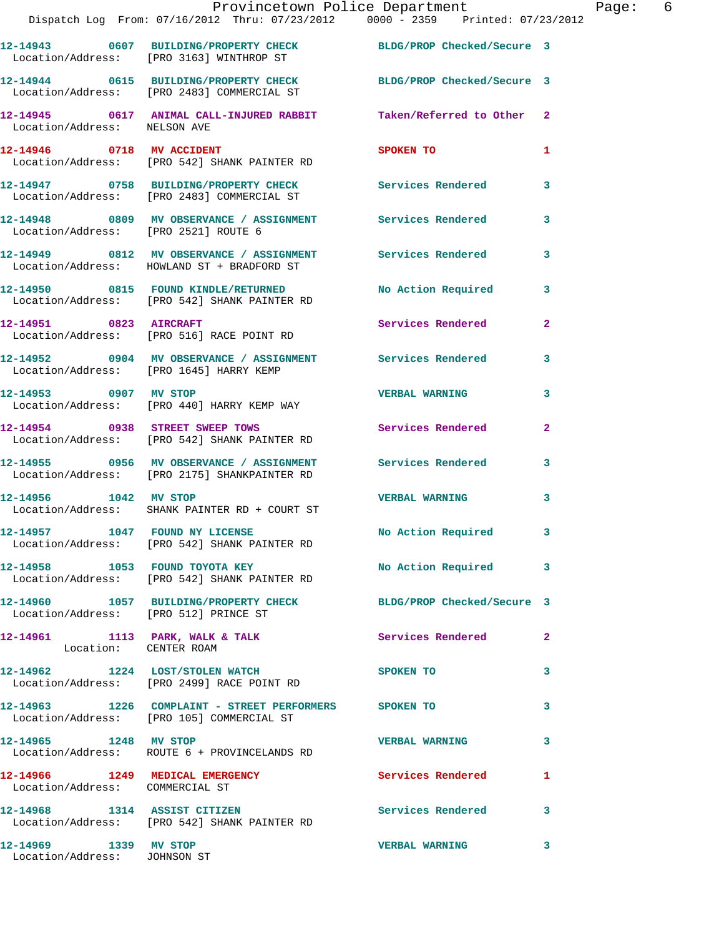|                                       | Provincetown Police Department<br>Dispatch Log From: 07/16/2012 Thru: 07/23/2012 0000 - 2359 Printed: 07/23/2012        |                            |                |
|---------------------------------------|-------------------------------------------------------------------------------------------------------------------------|----------------------------|----------------|
|                                       | 12-14943 0607 BUILDING/PROPERTY CHECK BLDG/PROP Checked/Secure 3<br>Location/Address: [PRO 3163] WINTHROP ST            |                            |                |
|                                       | 12-14944 0615 BUILDING/PROPERTY CHECK<br>Location/Address: [PRO 2483] COMMERCIAL ST                                     | BLDG/PROP Checked/Secure 3 |                |
| Location/Address: NELSON AVE          | 12-14945 0617 ANIMAL CALL-INJURED RABBIT Taken/Referred to Other 2                                                      |                            |                |
| 12-14946 0718 MV ACCIDENT             | Location/Address: [PRO 542] SHANK PAINTER RD                                                                            | <b>SPOKEN TO</b>           | 1              |
|                                       | 12-14947 0758 BUILDING/PROPERTY CHECK Services Rendered<br>Location/Address: [PRO 2483] COMMERCIAL ST                   |                            | 3              |
|                                       | 12-14948 0809 MV OBSERVANCE / ASSIGNMENT Services Rendered<br>Location/Address: [PRO 2521] ROUTE 6                      |                            | 3              |
|                                       | 12-14949 0812 MV OBSERVANCE / ASSIGNMENT Services Rendered<br>Location/Address: HOWLAND ST + BRADFORD ST                |                            | 3              |
|                                       | 12-14950      0815   FOUND KINDLE/RETURNED         No Action Required<br>Location/Address:   [PRO 542] SHANK PAINTER RD |                            | 3              |
|                                       | 12-14951 0823 AIRCRAFT<br>Location/Address: [PRO 516] RACE POINT RD                                                     | Services Rendered          | $\overline{2}$ |
|                                       | 12-14952 0904 MV OBSERVANCE / ASSIGNMENT Services Rendered<br>Location/Address: [PRO 1645] HARRY KEMP                   |                            | 3              |
| 12-14953 0907 MV STOP                 | Location/Address: [PRO 440] HARRY KEMP WAY                                                                              | <b>VERBAL WARNING</b>      | 3              |
|                                       | 12-14954 0938 STREET SWEEP TOWS<br>Location/Address: [PRO 542] SHANK PAINTER RD                                         | Services Rendered          | 2              |
|                                       | 12-14955 0956 MV OBSERVANCE / ASSIGNMENT Services Rendered<br>Location/Address: [PRO 2175] SHANKPAINTER RD              |                            | $\mathbf{3}$   |
| 12-14956 1042 MV STOP                 | Location/Address: SHANK PAINTER RD + COURT ST                                                                           | <b>VERBAL WARNING</b>      | 3              |
|                                       | 12-14957 1047 FOUND NY LICENSE<br>Location/Address: [PRO 542] SHANK PAINTER RD                                          | No Action Required         | 3              |
| 12-14958 1053 FOUND TOYOTA KEY        | Location/Address: [PRO 542] SHANK PAINTER RD                                                                            | No Action Required 3       |                |
| Location/Address: [PRO 512] PRINCE ST | 12-14960 1057 BUILDING/PROPERTY CHECK BLDG/PROP Checked/Secure 3                                                        |                            |                |
| Location: CENTER ROAM                 | 12-14961 1113 PARK, WALK & TALK 1988 Services Rendered                                                                  |                            | $\mathbf{2}$   |
|                                       | 12-14962 1224 LOST/STOLEN WATCH<br>Location/Address: [PRO 2499] RACE POINT RD                                           | SPOKEN TO                  | 3              |
|                                       | 12-14963 1226 COMPLAINT - STREET PERFORMERS SPOKEN TO<br>Location/Address: [PRO 105] COMMERCIAL ST                      |                            | 3              |
| 12-14965 1248 MV STOP                 | Location/Address: ROUTE 6 + PROVINCELANDS RD                                                                            | <b>VERBAL WARNING</b>      | 3              |
| Location/Address: COMMERCIAL ST       | 12-14966 1249 MEDICAL EMERGENCY                                                                                         | <b>Services Rendered</b>   | 1              |
|                                       | 12-14968 1314 ASSIST CITIZEN<br>Location/Address: [PRO 542] SHANK PAINTER RD                                            | Services Rendered 3        |                |
| 12-14969 1339 MV STOP                 |                                                                                                                         | <b>VERBAL WARNING</b>      | 3              |

Location/Address: JOHNSON ST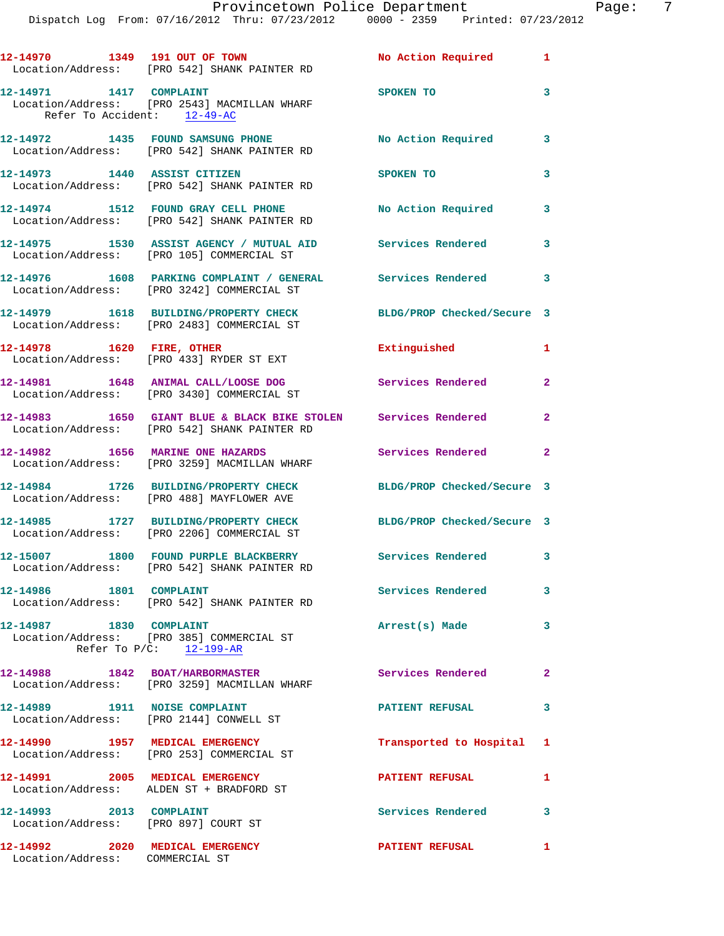Dispatch Log From: 07/16/2012 Thru: 07/23/2012 0000 - 2359 Printed: 07/23/2012

| 12-14970 1349 191 OUT OF TOWN                                      | Location/Address: [PRO 542] SHANK PAINTER RD                                                                   | No Action Required 1       |                            |
|--------------------------------------------------------------------|----------------------------------------------------------------------------------------------------------------|----------------------------|----------------------------|
| 12-14971 1417 COMPLAINT<br>Refer To Accident: 12-49-AC             | Location/Address: [PRO 2543] MACMILLAN WHARF                                                                   | <b>SPOKEN TO</b>           | 3                          |
|                                                                    | 12-14972 1435 FOUND SAMSUNG PHONE<br>Location/Address: [PRO 542] SHANK PAINTER RD                              | No Action Required 3       |                            |
|                                                                    | 12-14973 1440 ASSIST CITIZEN<br>Location/Address: [PRO 542] SHANK PAINTER RD                                   | SPOKEN TO                  | 3                          |
|                                                                    | 12-14974 1512 FOUND GRAY CELL PHONE<br>Location/Address: [PRO 542] SHANK PAINTER RD                            | <b>No Action Required</b>  | $\overline{\phantom{a}}$ 3 |
|                                                                    | 12-14975 1530 ASSIST AGENCY / MUTUAL AID Services Rendered<br>Location/Address: [PRO 105] COMMERCIAL ST        |                            | 3                          |
|                                                                    | 12-14976 1608 PARKING COMPLAINT / GENERAL Services Rendered 3<br>Location/Address: [PRO 3242] COMMERCIAL ST    |                            |                            |
|                                                                    | 12-14979 1618 BUILDING/PROPERTY CHECK BLDG/PROP Checked/Secure 3<br>Location/Address: [PRO 2483] COMMERCIAL ST |                            |                            |
|                                                                    | 12-14978    1620 FIRE, OTHER<br>Location/Address: [PRO 433] RYDER ST EXT                                       | Extinguished               | 1                          |
|                                                                    | 12-14981 1648 ANIMAL CALL/LOOSE DOG<br>Location/Address: [PRO 3430] COMMERCIAL ST                              | Services Rendered          | $\overline{2}$             |
|                                                                    | 12-14983 1650 GIANT BLUE & BLACK BIKE STOLEN Services Rendered<br>Location/Address: [PRO 542] SHANK PAINTER RD |                            | $\mathbf{2}$               |
| 12-14982 1656 MARINE ONE HAZARDS                                   | Location/Address: [PRO 3259] MACMILLAN WHARF                                                                   | Services Rendered          | $\overline{2}$             |
|                                                                    | 12-14984 1726 BUILDING/PROPERTY CHECK<br>Location/Address: [PRO 488] MAYFLOWER AVE                             | BLDG/PROP Checked/Secure 3 |                            |
|                                                                    | 12-14985 1727 BUILDING/PROPERTY CHECK<br>Location/Address: [PRO 2206] COMMERCIAL ST                            | BLDG/PROP Checked/Secure 3 |                            |
|                                                                    | 12-15007 1800 FOUND PURPLE BLACKBERRY Services Rendered 3<br>Location/Address: [PRO 542] SHANK PAINTER RD      |                            |                            |
| 12-14986 1801 COMPLAINT                                            | Location/Address: [PRO 542] SHANK PAINTER RD                                                                   | Services Rendered 3        |                            |
| 12-14987 1830 COMPLAINT                                            | Location/Address: [PRO 385] COMMERCIAL ST<br>Refer To P/C: 12-199-AR                                           | Arrest(s) Made             | 3                          |
|                                                                    | 12-14988 1842 BOAT/HARBORMASTER<br>Location/Address: [PRO 3259] MACMILLAN WHARF                                | Services Rendered          | $\mathbf{2}$               |
|                                                                    | 12-14989 1911 NOISE COMPLAINT<br>Location/Address: [PRO 2144] CONWELL ST                                       | <b>PATIENT REFUSAL</b>     | 3                          |
|                                                                    | 12-14990 1957 MEDICAL EMERGENCY<br>Location/Address: [PRO 253] COMMERCIAL ST                                   | Transported to Hospital 1  |                            |
|                                                                    | 12-14991 2005 MEDICAL EMERGENCY<br>Location/Address: ALDEN ST + BRADFORD ST                                    | <b>PATIENT REFUSAL</b>     | 1                          |
| 12-14993 2013 COMPLAINT<br>Location/Address: [PRO 897] COURT ST    |                                                                                                                | Services Rendered 3        |                            |
| 12-14992 2020 MEDICAL EMERGENCY<br>Location/Address: COMMERCIAL ST |                                                                                                                | <b>PATIENT REFUSAL</b>     | $\mathbf{1}$               |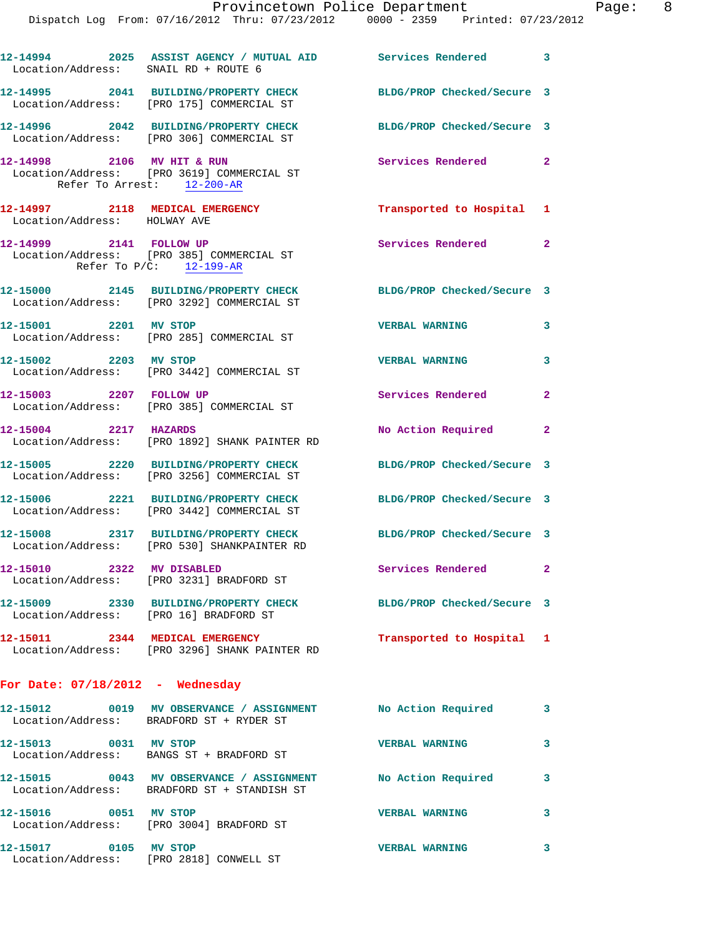| Location/Address: SNAIL RD + ROUTE 6                     |                                                                                                    | 12-14994 2025 ASSIST AGENCY / MUTUAL AID Services Rendered 3     |                |
|----------------------------------------------------------|----------------------------------------------------------------------------------------------------|------------------------------------------------------------------|----------------|
|                                                          | Location/Address: [PRO 175] COMMERCIAL ST                                                          | 12-14995 2041 BUILDING/PROPERTY CHECK BLDG/PROP Checked/Secure 3 |                |
|                                                          | 12-14996 2042 BUILDING/PROPERTY CHECK<br>Location/Address: [PRO 306] COMMERCIAL ST                 | BLDG/PROP Checked/Secure 3                                       |                |
| 12-14998 2106 MV HIT & RUN<br>Refer To Arrest: 12-200-AR | Location/Address: [PRO 3619] COMMERCIAL ST                                                         | Services Rendered 2                                              |                |
| Location/Address: HOLWAY AVE                             | 12-14997 2118 MEDICAL EMERGENCY                                                                    | Transported to Hospital 1                                        |                |
|                                                          | 12-14999 2141 FOLLOW UP<br>Location/Address: [PRO 385] COMMERCIAL ST<br>Refer To $P/C$ : 12-199-AR | Services Rendered 2                                              |                |
|                                                          | 12-15000 2145 BUILDING/PROPERTY CHECK<br>Location/Address: [PRO 3292] COMMERCIAL ST                | BLDG/PROP Checked/Secure 3                                       |                |
| 12-15001 2201 MV STOP                                    | Location/Address: [PRO 285] COMMERCIAL ST                                                          | <b>VERBAL WARNING</b>                                            | 3              |
| 12-15002 2203 MV STOP                                    | Location/Address: [PRO 3442] COMMERCIAL ST                                                         | <b>VERBAL WARNING</b>                                            | 3              |
| 12-15003 2207 FOLLOW UP                                  | Location/Address: [PRO 385] COMMERCIAL ST                                                          | <b>Services Rendered</b>                                         | $\overline{2}$ |
| 12-15004 2217 HAZARDS                                    | Location/Address: [PRO 1892] SHANK PAINTER RD                                                      | No Action Required                                               | $\overline{2}$ |
|                                                          | 12-15005 2220 BUILDING/PROPERTY CHECK<br>Location/Address: [PRO 3256] COMMERCIAL ST                | BLDG/PROP Checked/Secure 3                                       |                |
|                                                          | 12-15006 2221 BUILDING/PROPERTY CHECK<br>Location/Address: [PRO 3442] COMMERCIAL ST                | BLDG/PROP Checked/Secure 3                                       |                |
|                                                          | Location/Address: [PRO 530] SHANKPAINTER RD                                                        | 12-15008 2317 BUILDING/PROPERTY CHECK BLDG/PROP Checked/Secure 3 |                |
| 2322 MV DISABLED<br>12-15010                             | Location/Address: [PRO 3231] BRADFORD ST                                                           | Services Rendered                                                | $\mathbf{2}$   |
| Location/Address: [PRO 16] BRADFORD ST                   |                                                                                                    | 12-15009 2330 BUILDING/PROPERTY CHECK BLDG/PROP Checked/Secure 3 |                |
|                                                          | 12-15011 2344 MEDICAL EMERGENCY<br>Location/Address: [PRO 3296] SHANK PAINTER RD                   | Transported to Hospital 1                                        |                |
| For Date: $07/18/2012$ - Wednesday                       |                                                                                                    |                                                                  |                |
|                                                          | Location/Address: BRADFORD ST + RYDER ST                                                           | 12-15012 0019 MV OBSERVANCE / ASSIGNMENT No Action Required 3    |                |
| 12-15013 0031 MV STOP                                    | Location/Address: BANGS ST + BRADFORD ST                                                           | <b>VERBAL WARNING</b>                                            | 3              |
|                                                          | Location/Address: BRADFORD ST + STANDISH ST                                                        | 12-15015 0043 MV OBSERVANCE / ASSIGNMENT No Action Required      | 3              |
| 12-15016 0051 MV STOP                                    | Location/Address: [PRO 3004] BRADFORD ST                                                           | <b>VERBAL WARNING</b>                                            | 3              |
| 12-15017 0105 MV STOP                                    |                                                                                                    | <b>VERBAL WARNING</b>                                            |                |

Location/Address: [PRO 2818] CONWELL ST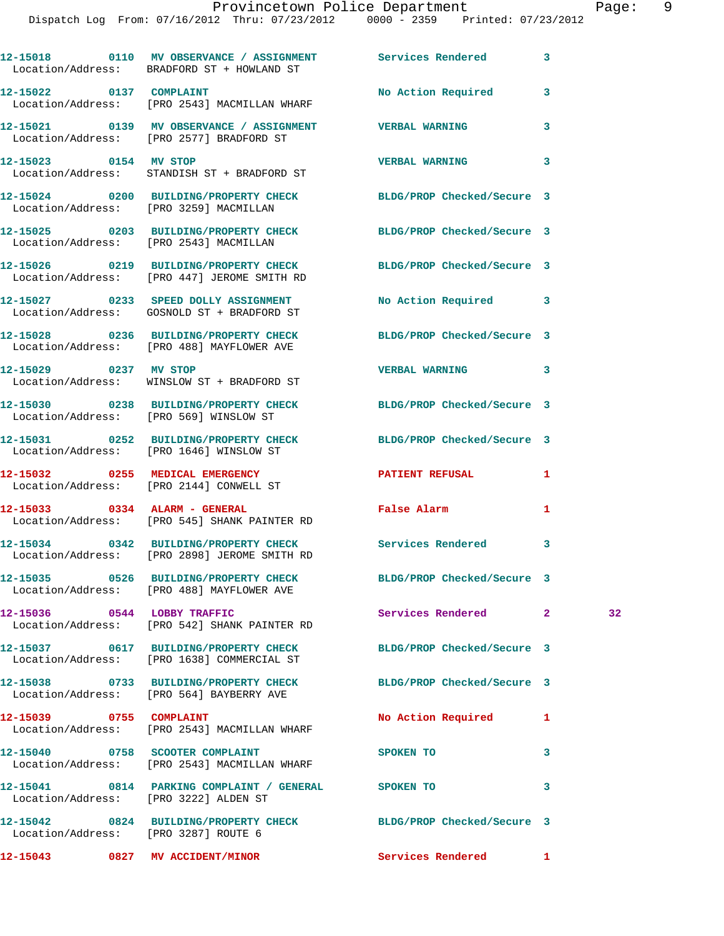|                         | 12-15018 0110 MV OBSERVANCE / ASSIGNMENT Services Rendered<br>Location/Address: BRADFORD ST + HOWLAND ST        |                            | $\mathbf{3}$ |    |
|-------------------------|-----------------------------------------------------------------------------------------------------------------|----------------------------|--------------|----|
|                         | 12-15022 0137 COMPLAINT<br>Location/Address: [PRO 2543] MACMILLAN WHARF                                         | No Action Required         | 3            |    |
|                         | 12-15021 0139 MV OBSERVANCE / ASSIGNMENT VERBAL WARNING<br>Location/Address: [PRO 2577] BRADFORD ST             |                            | 3            |    |
| 12-15023 0154 MV STOP   | Location/Address: STANDISH ST + BRADFORD ST                                                                     | <b>VERBAL WARNING</b>      | 3            |    |
|                         | 12-15024 0200 BUILDING/PROPERTY CHECK BLDG/PROP Checked/Secure 3<br>Location/Address: [PRO 3259] MACMILLAN      |                            |              |    |
|                         | 12-15025 0203 BUILDING/PROPERTY CHECK BLDG/PROP Checked/Secure 3<br>Location/Address: [PRO 2543] MACMILLAN      |                            |              |    |
|                         | 12-15026 0219 BUILDING/PROPERTY CHECK BLDG/PROP Checked/Secure 3<br>Location/Address: [PRO 447] JEROME SMITH RD |                            |              |    |
|                         | 12-15027 0233 SPEED DOLLY ASSIGNMENT                                                                            | No Action Required 3       |              |    |
|                         | Location/Address: GOSNOLD ST + BRADFORD ST<br>12-15028 0236 BUILDING/PROPERTY CHECK BLDG/PROP Checked/Secure 3  |                            |              |    |
| 12-15029 0237 MV STOP   | Location/Address: [PRO 488] MAYFLOWER AVE                                                                       | VERBAL WARNING 3           |              |    |
|                         | Location/Address: WINSLOW ST + BRADFORD ST<br>12-15030 0238 BUILDING/PROPERTY CHECK                             | BLDG/PROP Checked/Secure 3 |              |    |
|                         | Location/Address: [PRO 569] WINSLOW ST<br>12-15031 0252 BUILDING/PROPERTY CHECK                                 | BLDG/PROP Checked/Secure 3 |              |    |
|                         | Location/Address: [PRO 1646] WINSLOW ST<br>12-15032 0255 MEDICAL EMERGENCY                                      | <b>PATIENT REFUSAL</b>     | 1            |    |
|                         | Location/Address: [PRO 2144] CONWELL ST<br>12-15033 0334 ALARM - GENERAL                                        | False Alarm                | 1            |    |
|                         | Location/Address: [PRO 545] SHANK PAINTER RD<br>12-15034 0342 BUILDING/PROPERTY CHECK Services Rendered 3       |                            |              |    |
|                         | Location/Address: [PRO 2898] JEROME SMITH RD                                                                    |                            |              |    |
|                         | 12-15035 0526 BUILDING/PROPERTY CHECK BLDG/PROP Checked/Secure 3<br>Location/Address: [PRO 488] MAYFLOWER AVE   |                            |              |    |
|                         | 12-15036 0544 LOBBY TRAFFIC<br>Location/Address: [PRO 542] SHANK PAINTER RD                                     | Services Rendered          | $\mathbf{2}$ | 32 |
|                         | 12-15037 0617 BUILDING/PROPERTY CHECK<br>Location/Address: [PRO 1638] COMMERCIAL ST                             | BLDG/PROP Checked/Secure 3 |              |    |
|                         | 12-15038 0733 BUILDING/PROPERTY CHECK BLDG/PROP Checked/Secure 3<br>Location/Address: [PRO 564] BAYBERRY AVE    |                            |              |    |
| 12-15039 0755 COMPLAINT | Location/Address: [PRO 2543] MACMILLAN WHARF                                                                    | No Action Required         | 1            |    |
|                         | 12-15040 0758 SCOOTER COMPLAINT<br>Location/Address: [PRO 2543] MACMILLAN WHARF                                 | <b>SPOKEN TO</b>           | 3            |    |
|                         | 12-15041 0814 PARKING COMPLAINT / GENERAL SPOKEN TO<br>Location/Address: [PRO 3222] ALDEN ST                    |                            | 3            |    |
|                         | 12-15042 0824 BUILDING/PROPERTY CHECK BLDG/PROP Checked/Secure 3<br>Location/Address: [PRO 3287] ROUTE 6        |                            |              |    |
|                         | 12-15043 0827 MV ACCIDENT/MINOR                                                                                 | <b>Services Rendered</b>   | $\mathbf{1}$ |    |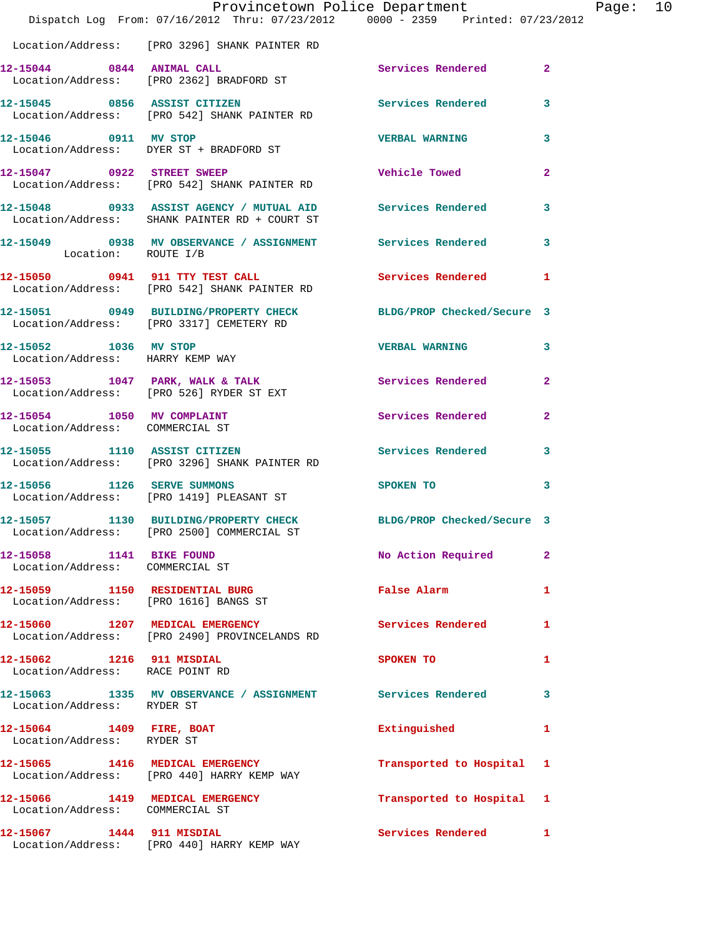|                                                              | Dispatch Log From: 07/16/2012 Thru: 07/23/2012 0000 - 2359 Printed: 07/23/2012                                 | Provincetown Police Department | Page: 10       |  |
|--------------------------------------------------------------|----------------------------------------------------------------------------------------------------------------|--------------------------------|----------------|--|
|                                                              | Location/Address: [PRO 3296] SHANK PAINTER RD                                                                  |                                |                |  |
|                                                              | 12-15044 0844 ANIMAL CALL<br>Location/Address: [PRO 2362] BRADFORD ST                                          | Services Rendered 2            |                |  |
|                                                              | 12-15045 0856 ASSIST CITIZEN<br>Location/Address: [PRO 542] SHANK PAINTER RD                                   | <b>Services Rendered</b>       | 3              |  |
| 12-15046 0911 MV STOP                                        | Location/Address: DYER ST + BRADFORD ST                                                                        | <b>VERBAL WARNING</b>          | 3              |  |
|                                                              | 12-15047 0922 STREET SWEEP<br>Location/Address: [PRO 542] SHANK PAINTER RD                                     | <b>Vehicle Towed</b>           | $\mathbf{2}$   |  |
|                                                              | 12-15048 0933 ASSIST AGENCY / MUTUAL AID Services Rendered 3<br>Location/Address: SHANK PAINTER RD + COURT ST  |                                |                |  |
| Location: ROUTE I/B                                          | 12-15049 0938 MV OBSERVANCE / ASSIGNMENT Services Rendered 3                                                   |                                |                |  |
|                                                              | 12-15050 0941 911 TTY TEST CALL<br>Location/Address: [PRO 542] SHANK PAINTER RD                                | Services Rendered              | $\mathbf{1}$   |  |
|                                                              | 12-15051 0949 BUILDING/PROPERTY CHECK BLDG/PROP Checked/Secure 3<br>Location/Address: [PRO 3317] CEMETERY RD   |                                |                |  |
| 12-15052 1036 MV STOP<br>Location/Address: HARRY KEMP WAY    |                                                                                                                | <b>VERBAL WARNING</b>          | 3              |  |
|                                                              | 12-15053 1047 PARK, WALK & TALK<br>Location/Address: [PRO 526] RYDER ST EXT                                    | Services Rendered              | $\overline{2}$ |  |
| Location/Address: COMMERCIAL ST                              | 12-15054 1050 MV COMPLAINT                                                                                     | Services Rendered              | $\overline{a}$ |  |
|                                                              | 12-15055 1110 ASSIST CITIZEN 5ervices Rendered 3<br>Location/Address: [PRO 3296] SHANK PAINTER RD              |                                |                |  |
|                                                              | 12-15056 1126 SERVE SUMMONS<br>Location/Address: [PRO 1419] PLEASANT ST                                        | SPOKEN TO                      | 3              |  |
|                                                              | 12-15057 1130 BUILDING/PROPERTY CHECK BLDG/PROP Checked/Secure 3<br>Location/Address: [PRO 2500] COMMERCIAL ST |                                |                |  |
| 12-15058 1141 BIKE FOUND<br>Location/Address: COMMERCIAL ST  |                                                                                                                | No Action Required             | 2              |  |
|                                                              |                                                                                                                | False Alarm                    | $\mathbf{1}$   |  |
|                                                              | 12-15060 1207 MEDICAL EMERGENCY<br>Location/Address: [PRO 2490] PROVINCELANDS RD                               | <b>Services Rendered</b>       | 1              |  |
| 12-15062 1216 911 MISDIAL<br>Location/Address: RACE POINT RD |                                                                                                                | SPOKEN TO                      | 1              |  |
| Location/Address: RYDER ST                                   | 12-15063 1335 MV OBSERVANCE / ASSIGNMENT Services Rendered                                                     |                                | 3              |  |
| 12-15064 1409 FIRE, BOAT<br>Location/Address: RYDER ST       |                                                                                                                | Extinguished                   | $\mathbf{1}$   |  |
|                                                              | 12-15065 1416 MEDICAL EMERGENCY<br>Location/Address: [PRO 440] HARRY KEMP WAY                                  | Transported to Hospital 1      |                |  |
| Location/Address: COMMERCIAL ST                              | 12-15066 1419 MEDICAL EMERGENCY                                                                                | Transported to Hospital 1      |                |  |
|                                                              | 12-15067 1444 911 MISDIAL<br>Location/Address: [PRO 440] HARRY KEMP WAY                                        | Services Rendered              | $\mathbf{1}$   |  |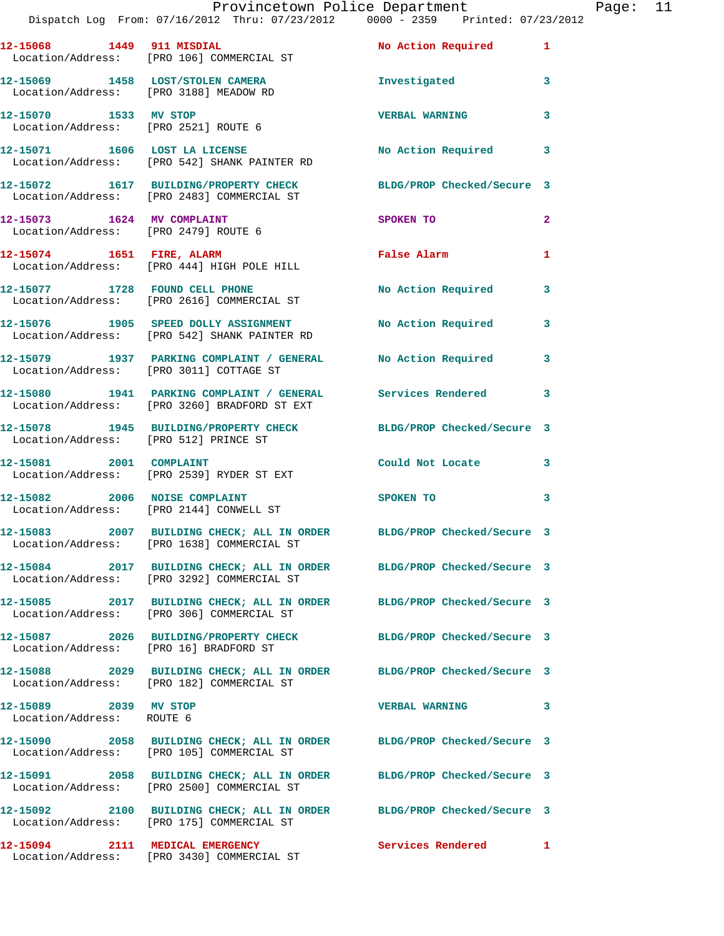|                                                               | Provincetown Police Department<br>Dispatch Log From: 07/16/2012 Thru: 07/23/2012 0000 - 2359 Printed: 07/23/2012 |                           |                |
|---------------------------------------------------------------|------------------------------------------------------------------------------------------------------------------|---------------------------|----------------|
| 12-15068 1449 911 MISDIAL                                     | Location/Address: [PRO 106] COMMERCIAL ST                                                                        | <b>No Action Required</b> | 1              |
| Location/Address: [PRO 3188] MEADOW RD                        | 12-15069 1458 LOST/STOLEN CAMERA Threstigated                                                                    |                           | 3              |
| 12-15070 1533 MV STOP<br>Location/Address: [PRO 2521] ROUTE 6 |                                                                                                                  | <b>VERBAL WARNING</b>     | 3              |
|                                                               | 12-15071 1606 LOST LA LICENSE<br>Location/Address: [PRO 542] SHANK PAINTER RD                                    | No Action Required        | 3              |
|                                                               | 12-15072 1617 BUILDING/PROPERTY CHECK BLDG/PROP Checked/Secure 3<br>Location/Address: [PRO 2483] COMMERCIAL ST   |                           |                |
| Location/Address: [PRO 2479] ROUTE 6                          | 12-15073 1624 MV COMPLAINT                                                                                       | SPOKEN TO                 | $\overline{a}$ |
|                                                               | 12-15074 1651 FIRE, ALARM<br>Location/Address: [PRO 444] HIGH POLE HILL                                          | False Alarm               | 1              |
|                                                               | 12-15077 1728 FOUND CELL PHONE<br>Location/Address: [PRO 2616] COMMERCIAL ST                                     | No Action Required        | 3              |
|                                                               | 12-15076 1905 SPEED DOLLY ASSIGNMENT No Action Required<br>Location/Address: [PRO 542] SHANK PAINTER RD          |                           | 3              |
|                                                               | 12-15079 1937 PARKING COMPLAINT / GENERAL No Action Required<br>Location/Address: [PRO 3011] COTTAGE ST          |                           | 3              |
|                                                               | 12-15080 1941 PARKING COMPLAINT / GENERAL Services Rendered<br>Location/Address: [PRO 3260] BRADFORD ST EXT      |                           | 3              |
|                                                               | 12-15078 1945 BUILDING/PROPERTY CHECK BLDG/PROP Checked/Secure 3                                                 |                           |                |

**12-15081 2001 COMPLAINT Could Not Locate 3**  Location/Address: [PRO 2539] RYDER ST EXT

Location/Address: [PRO 512] PRINCE ST

**12-15082 2006 NOISE COMPLAINT SPOKEN TO 3**  Location/Address: [PRO 2144] CONWELL ST

**12-15083 2007 BUILDING CHECK; ALL IN ORDER BLDG/PROP Checked/Secure 3**  Location/Address: [PRO 1638] COMMERCIAL ST

Location/Address: [PRO 3292] COMMERCIAL ST

Location/Address: [PRO 306] COMMERCIAL ST

Location/Address: [PRO 16] BRADFORD ST

Location/Address: [PRO 182] COMMERCIAL ST

Location/Address: ROUTE 6

**12-15090 2058 BUILDING CHECK; ALL IN ORDER BLDG/PROP Checked/Secure 3**  Location/Address: [PRO 105] COMMERCIAL ST

**12-15091 2058 BUILDING CHECK; ALL IN ORDER BLDG/PROP Checked/Secure 3** 

Location/Address: [PRO 2500] COMMERCIAL ST

**12-15092 2100 BUILDING CHECK; ALL IN ORDER BLDG/PROP Checked/Secure 3**  Location/Address: [PRO 175] COMMERCIAL ST

**12-15094 2111 MEDICAL EMERGENCY Services Rendered 1**  Location/Address: [PRO 3430] COMMERCIAL ST

**12-15084 2017 BUILDING CHECK; ALL IN ORDER BLDG/PROP Checked/Secure 3** 

**12-15085 2017 BUILDING CHECK; ALL IN ORDER BLDG/PROP Checked/Secure 3** 

**12-15087 2026 BUILDING/PROPERTY CHECK BLDG/PROP Checked/Secure 3** 

**12-15088 2029 BUILDING CHECK; ALL IN ORDER BLDG/PROP Checked/Secure 3** 

**12-15089 2039 MV STOP VERBAL WARNING 3**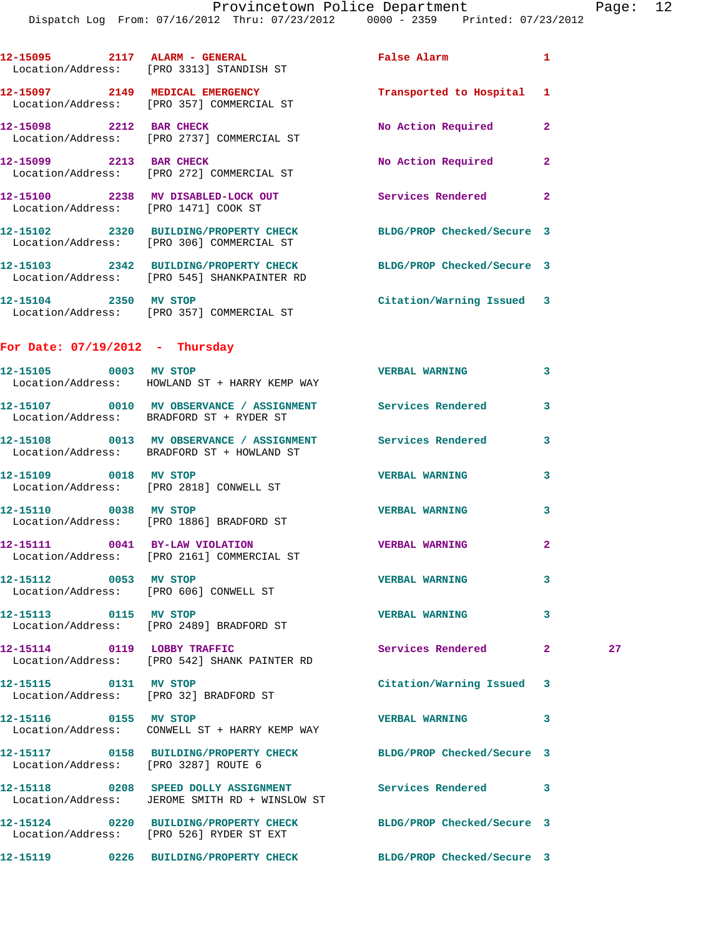|                                      | Dispatch Log From: 07/16/2012 Thru: 07/23/2012 0000 - 2359 Printed: 07/23/2012                                  |                            |              |    |
|--------------------------------------|-----------------------------------------------------------------------------------------------------------------|----------------------------|--------------|----|
|                                      | 12-15095 2117 ALARM - GENERAL<br>Location/Address: [PRO 3313] STANDISH ST                                       | <b>False Alarm</b>         | 1            |    |
|                                      | 12-15097 2149 MEDICAL EMERGENCY<br>Location/Address: [PRO 357] COMMERCIAL ST                                    | Transported to Hospital    | 1            |    |
| 12-15098 2212 BAR CHECK              | Location/Address: [PRO 2737] COMMERCIAL ST                                                                      | No Action Required         | $\mathbf{2}$ |    |
|                                      | 12-15099 2213 BAR CHECK<br>Location/Address: [PRO 272] COMMERCIAL ST                                            | No Action Required         | $\mathbf{2}$ |    |
| Location/Address: [PRO 1471] COOK ST | 12-15100 2238 MV DISABLED-LOCK OUT                                                                              | Services Rendered 2        |              |    |
|                                      | 12-15102 2320 BUILDING/PROPERTY CHECK<br>Location/Address: [PRO 306] COMMERCIAL ST                              | BLDG/PROP Checked/Secure 3 |              |    |
|                                      | 12-15103 2342 BUILDING/PROPERTY CHECK BLDG/PROP Checked/Secure 3<br>Location/Address: [PRO 545] SHANKPAINTER RD |                            |              |    |
|                                      | 12-15104 2350 MV STOP<br>Location/Address: [PRO 357] COMMERCIAL ST                                              | Citation/Warning Issued 3  |              |    |
| For Date: $07/19/2012$ - Thursday    |                                                                                                                 |                            |              |    |
|                                      | 12-15105 0003 MV STOP<br>Location/Address: HOWLAND ST + HARRY KEMP WAY                                          | <b>VERBAL WARNING</b>      | 3            |    |
|                                      | 12-15107 0010 MV OBSERVANCE / ASSIGNMENT Services Rendered<br>Location/Address: BRADFORD ST + RYDER ST          |                            | 3            |    |
|                                      | 12-15108 0013 MV OBSERVANCE / ASSIGNMENT Services Rendered<br>Location/Address: BRADFORD ST + HOWLAND ST        |                            | 3            |    |
| 12-15109 0018 MV STOP                | Location/Address: [PRO 2818] CONWELL ST                                                                         | <b>VERBAL WARNING</b>      | 3            |    |
|                                      | 12-15110 0038 MV STOP<br>Location/Address: [PRO 1886] BRADFORD ST                                               | <b>VERBAL WARNING</b>      | 3            |    |
|                                      | Location/Address: [PRO 2161] COMMERCIAL ST                                                                      | <b>VERBAL WARNING</b>      | $\mathbf{2}$ |    |
| 12-15112 0053 MV STOP                | Location/Address: [PRO 606] CONWELL ST                                                                          | <b>VERBAL WARNING</b>      | 3            |    |
| 12-15113 0115 MV STOP                | Location/Address: [PRO 2489] BRADFORD ST                                                                        | <b>VERBAL WARNING</b>      | 3            |    |
|                                      | 12-15114 0119 LOBBY TRAFFIC<br>Location/Address: [PRO 542] SHANK PAINTER RD                                     | Services Rendered          | $\mathbf{2}$ | 27 |
| 12-15115 0131 MV STOP                | Location/Address: [PRO 32] BRADFORD ST                                                                          | Citation/Warning Issued 3  |              |    |
| 12-15116 0155 MV STOP                | Location/Address: CONWELL ST + HARRY KEMP WAY                                                                   | <b>VERBAL WARNING</b>      | 3            |    |
| Location/Address: [PRO 3287] ROUTE 6 | 12-15117 0158 BUILDING/PROPERTY CHECK BLDG/PROP Checked/Secure 3                                                |                            |              |    |
|                                      | 12-15118 0208 SPEED DOLLY ASSIGNMENT<br>Location/Address: JEROME SMITH RD + WINSLOW ST                          | <b>Services Rendered</b>   | 3            |    |
|                                      | 12-15124 0220 BUILDING/PROPERTY CHECK BLDG/PROP Checked/Secure 3<br>Location/Address: [PRO 526] RYDER ST EXT    |                            |              |    |
|                                      | 12-15119 0226 BUILDING/PROPERTY CHECK BLDG/PROP Checked/Secure 3                                                |                            |              |    |
|                                      |                                                                                                                 |                            |              |    |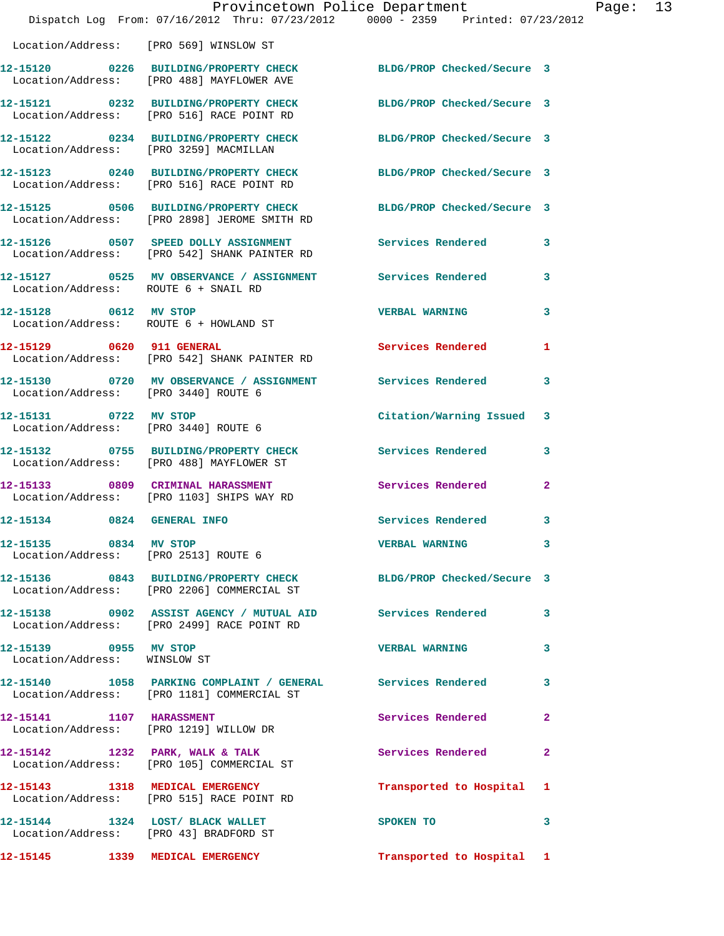|                                                                 | Provincetown Police Department<br>Dispatch Log From: 07/16/2012 Thru: 07/23/2012 0000 - 2359 Printed: 07/23/2012 |                            |              |
|-----------------------------------------------------------------|------------------------------------------------------------------------------------------------------------------|----------------------------|--------------|
|                                                                 | Location/Address: [PRO 569] WINSLOW ST                                                                           |                            |              |
|                                                                 | 12-15120 0226 BUILDING/PROPERTY CHECK BLDG/PROP Checked/Secure 3<br>Location/Address: [PRO 488] MAYFLOWER AVE    |                            |              |
|                                                                 | 12-15121 0232 BUILDING/PROPERTY CHECK BLDG/PROP Checked/Secure 3<br>Location/Address: [PRO 516] RACE POINT RD    |                            |              |
| Location/Address: [PRO 3259] MACMILLAN                          | 12-15122 0234 BUILDING/PROPERTY CHECK                                                                            | BLDG/PROP Checked/Secure 3 |              |
|                                                                 | 12-15123 0240 BUILDING/PROPERTY CHECK<br>Location/Address: [PRO 516] RACE POINT RD                               | BLDG/PROP Checked/Secure 3 |              |
|                                                                 | 12-15125 0506 BUILDING/PROPERTY CHECK<br>Location/Address: [PRO 2898] JEROME SMITH RD                            | BLDG/PROP Checked/Secure 3 |              |
|                                                                 | 12-15126 0507 SPEED DOLLY ASSIGNMENT<br>Location/Address: [PRO 542] SHANK PAINTER RD                             | <b>Services Rendered</b>   | 3            |
| Location/Address: ROUTE 6 + SNAIL RD                            | 12-15127 0525 MV OBSERVANCE / ASSIGNMENT Services Rendered                                                       |                            | 3            |
| 12-15128 0612 MV STOP<br>Location/Address: ROUTE 6 + HOWLAND ST |                                                                                                                  | <b>VERBAL WARNING</b>      | 3            |
| 12-15129 0620 911 GENERAL                                       | Location/Address: [PRO 542] SHANK PAINTER RD                                                                     | <b>Services Rendered</b>   | 1            |
| Location/Address: [PRO 3440] ROUTE 6                            | 12-15130 0720 MV OBSERVANCE / ASSIGNMENT Services Rendered                                                       |                            | 3            |
| 12-15131 0722 MV STOP                                           | Location/Address: [PRO 3440] ROUTE 6                                                                             | Citation/Warning Issued    | 3            |
|                                                                 | 12-15132 0755 BUILDING/PROPERTY CHECK<br>Location/Address: [PRO 488] MAYFLOWER ST                                | <b>Services Rendered</b>   | 3            |
|                                                                 | 12-15133 0809 CRIMINAL HARASSMENT<br>Location/Address: [PRO 1103] SHIPS WAY RD                                   | Services Rendered          | $\mathbf{2}$ |
| 12-15134 0824                                                   | <b>GENERAL INFO</b>                                                                                              | Services Rendered          | 3            |
| 12-15135 0834 MV STOP<br>Location/Address: [PRO 2513] ROUTE 6   |                                                                                                                  | <b>VERBAL WARNING</b>      | 3            |
|                                                                 | 12-15136 0843 BUILDING/PROPERTY CHECK BLDG/PROP Checked/Secure 3<br>Location/Address: [PRO 2206] COMMERCIAL ST   |                            |              |
|                                                                 | 12-15138 0902 ASSIST AGENCY / MUTUAL AID Services Rendered<br>Location/Address: [PRO 2499] RACE POINT RD         |                            | 3            |
| 12-15139 0955 MV STOP<br>Location/Address: WINSLOW ST           |                                                                                                                  | <b>VERBAL WARNING</b>      | 3            |
|                                                                 | 12-15140   1058   PARKING COMPLAINT / GENERAL   Services Rendered<br>Location/Address: [PRO 1181] COMMERCIAL ST  |                            | 3            |
| 12-15141 1107 HARASSMENT                                        | Location/Address: [PRO 1219] WILLOW DR                                                                           | Services Rendered          | $\mathbf{2}$ |
|                                                                 | 12-15142 1232 PARK, WALK & TALK<br>Location/Address: [PRO 105] COMMERCIAL ST                                     | Services Rendered          | $\mathbf{2}$ |
|                                                                 | 12-15143 1318 MEDICAL EMERGENCY<br>Location/Address: [PRO 515] RACE POINT RD                                     | Transported to Hospital    | 1            |
|                                                                 | 12-15144 1324 LOST/BLACK WALLET<br>Location/Address: [PRO 43] BRADFORD ST                                        | SPOKEN TO                  | 3            |
| 12-15145    1339    MEDICAL EMERGENCY                           |                                                                                                                  | Transported to Hospital 1  |              |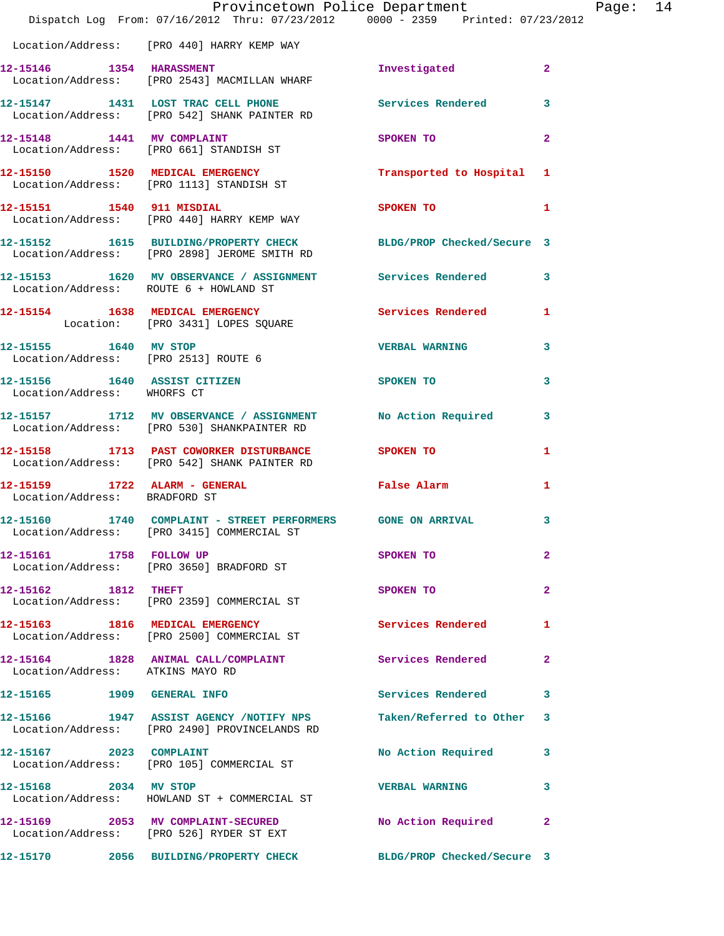|                                                                | Provincetown Police Department<br>Dispatch Log From: 07/16/2012 Thru: 07/23/2012 0000 - 2359 Printed: 07/23/2012 |                            |                |
|----------------------------------------------------------------|------------------------------------------------------------------------------------------------------------------|----------------------------|----------------|
|                                                                | Location/Address: [PRO 440] HARRY KEMP WAY                                                                       |                            |                |
| 12-15146 1354 HARASSMENT                                       | Location/Address: [PRO 2543] MACMILLAN WHARF                                                                     | Investigated               | $\overline{a}$ |
|                                                                | 12-15147 1431 LOST TRAC CELL PHONE 5ervices Rendered<br>Location/Address: [PRO 542] SHANK PAINTER RD             |                            | 3              |
|                                                                | 12-15148 1441 MV COMPLAINT<br>Location/Address: [PRO 661] STANDISH ST                                            | SPOKEN TO                  | $\overline{2}$ |
|                                                                | 12-15150 1520 MEDICAL EMERGENCY<br>Location/Address: [PRO 1113] STANDISH ST                                      | Transported to Hospital    | 1              |
|                                                                | 12-15151 1540 911 MISDIAL<br>Location/Address: [PRO 440] HARRY KEMP WAY                                          | <b>SPOKEN TO</b>           | 1              |
|                                                                | 12-15152 1615 BUILDING/PROPERTY CHECK<br>Location/Address: [PRO 2898] JEROME SMITH RD                            | BLDG/PROP Checked/Secure 3 |                |
|                                                                | 12-15153 1620 MV OBSERVANCE / ASSIGNMENT Services Rendered<br>Location/Address: ROUTE 6 + HOWLAND ST             |                            | 3              |
|                                                                | 12-15154 1638 MEDICAL EMERGENCY<br>Location: [PRO 3431] LOPES SQUARE                                             | <b>Services Rendered</b>   | 1              |
| 12-15155 1640 MV STOP                                          | Location/Address: [PRO 2513] ROUTE 6                                                                             | <b>VERBAL WARNING</b>      | 3              |
| 12-15156 1640 ASSIST CITIZEN<br>Location/Address: WHORFS CT    |                                                                                                                  | SPOKEN TO                  | 3              |
|                                                                | 12-15157 1712 MV OBSERVANCE / ASSIGNMENT<br>Location/Address: [PRO 530] SHANKPAINTER RD                          | <b>No Action Required</b>  | 3              |
|                                                                | 12-15158 1713 PAST COWORKER DISTURBANCE<br>Location/Address: [PRO 542] SHANK PAINTER RD                          | <b>SPOKEN TO</b>           | 1              |
| 12-15159 1722 ALARM - GENERAL<br>Location/Address: BRADFORD ST |                                                                                                                  | False Alarm                | 1              |
|                                                                | 12-15160 1740 COMPLAINT - STREET PERFORMERS GONE ON ARRIVAL<br>Location/Address: [PRO 3415] COMMERCIAL ST        |                            | 3              |
| 12-15161 1758 FOLLOW UP                                        | Location/Address: [PRO 3650] BRADFORD ST                                                                         | SPOKEN TO                  | $\overline{a}$ |
| 12-15162 1812 THEFT                                            | Location/Address: [PRO 2359] COMMERCIAL ST                                                                       | SPOKEN TO                  | $\mathbf{2}$   |
|                                                                | 12-15163 1816 MEDICAL EMERGENCY<br>Location/Address: [PRO 2500] COMMERCIAL ST                                    | Services Rendered          | 1              |
| Location/Address: ATKINS MAYO RD                               | 12-15164 1828 ANIMAL CALL/COMPLAINT                                                                              | Services Rendered          | $\mathbf{2}$   |
|                                                                |                                                                                                                  | Services Rendered          | 3              |
|                                                                | 12-15166 1947 ASSIST AGENCY /NOTIFY NPS<br>Location/Address: [PRO 2490] PROVINCELANDS RD                         | Taken/Referred to Other    | 3              |
| 12-15167 2023 COMPLAINT                                        | Location/Address: [PRO 105] COMMERCIAL ST                                                                        | No Action Required         | 3              |
| 12-15168 2034 MV STOP                                          | Location/Address: HOWLAND ST + COMMERCIAL ST                                                                     | <b>VERBAL WARNING</b>      | 3              |
|                                                                | 12-15169 2053 MV COMPLAINT-SECURED<br>Location/Address: [PRO 526] RYDER ST EXT                                   | No Action Required         | $\mathbf{2}$   |
|                                                                | 12-15170  2056 BUILDING/PROPERTY CHECK BLDG/PROP Checked/Secure 3                                                |                            |                |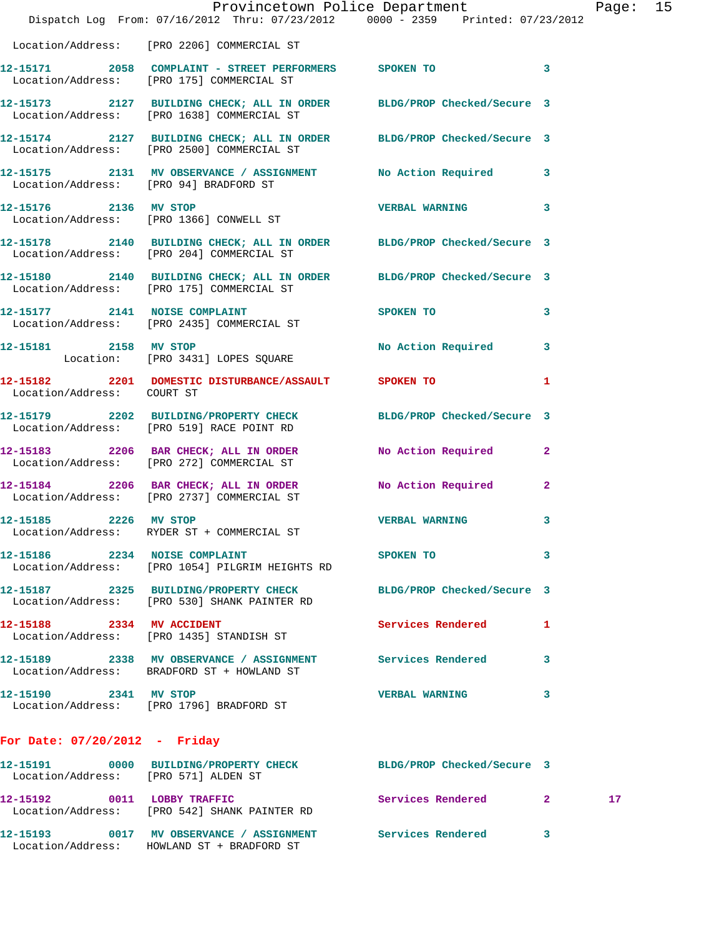|                                      | Dispatch Log From: 07/16/2012 Thru: 07/23/2012 0000 - 2359 Printed: 07/23/2012                                             | Provincetown Police Department |                          | Page: 15 |  |
|--------------------------------------|----------------------------------------------------------------------------------------------------------------------------|--------------------------------|--------------------------|----------|--|
|                                      | Location/Address: [PRO 2206] COMMERCIAL ST                                                                                 |                                |                          |          |  |
|                                      | 12-15171 2058 COMPLAINT - STREET PERFORMERS SPOKEN TO 3<br>Location/Address: [PRO 175] COMMERCIAL ST                       |                                |                          |          |  |
|                                      | 12-15173 2127 BUILDING CHECK; ALL IN ORDER BLDG/PROP Checked/Secure 3<br>Location/Address: [PRO 1638] COMMERCIAL ST        |                                |                          |          |  |
|                                      | 12-15174 2127 BUILDING CHECK; ALL IN ORDER BLDG/PROP Checked/Secure 3<br>Location/Address: [PRO 2500] COMMERCIAL ST        |                                |                          |          |  |
|                                      | 12-15175 2131 MV OBSERVANCE / ASSIGNMENT No Action Required 3<br>Location/Address: [PRO 94] BRADFORD ST                    |                                |                          |          |  |
| 12-15176 2136 MV STOP                | Location/Address: [PRO 1366] CONWELL ST                                                                                    | <b>VERBAL WARNING</b> 3        |                          |          |  |
|                                      | 12-15178   2140   BUILDING CHECK; ALL IN ORDER   BLDG/PROP Checked/Secure   3<br>Location/Address: [PRO 204] COMMERCIAL ST |                                |                          |          |  |
|                                      | 12-15180 2140 BUILDING CHECK; ALL IN ORDER BLDG/PROP Checked/Secure 3<br>Location/Address: [PRO 175] COMMERCIAL ST         |                                |                          |          |  |
|                                      | 12-15177 2141 NOISE COMPLAINT<br>Location/Address: [PRO 2435] COMMERCIAL ST                                                | SPOKEN TO                      | $\mathbf{3}$             |          |  |
| 12-15181 2158 MV STOP                | Location: [PRO 3431] LOPES SQUARE                                                                                          | No Action Required 3           |                          |          |  |
| Location/Address: COURT ST           | 12-15182 2201 DOMESTIC DISTURBANCE/ASSAULT SPOKEN TO                                                                       |                                | $\overline{\phantom{0}}$ |          |  |
|                                      | 12-15179 2202 BUILDING/PROPERTY CHECK<br>Location/Address: [PRO 519] RACE POINT RD                                         | BLDG/PROP Checked/Secure 3     |                          |          |  |
|                                      | 12-15183 2206 BAR CHECK; ALL IN ORDER No Action Required 2<br>Location/Address: [PRO 272] COMMERCIAL ST                    |                                |                          |          |  |
|                                      | 12-15184 2206 BAR CHECK; ALL IN ORDER<br>Location/Address: [PRO 2737] COMMERCIAL ST                                        | No Action Required             | $\mathbf{2}$             |          |  |
| 12-15185 2226 MV STOP                | Location/Address: RYDER ST + COMMERCIAL ST                                                                                 | VERBAL WARNING                 | $\mathbf{3}$             |          |  |
| 12-15186 2234 NOISE COMPLAINT        | Location/Address: [PRO 1054] PILGRIM HEIGHTS RD                                                                            | SPOKEN TO 3                    |                          |          |  |
|                                      | 12-15187  2325  BUILDING/PROPERTY CHECK BLDG/PROP Checked/Secure 3<br>Location/Address: [PRO 530] SHANK PAINTER RD         |                                |                          |          |  |
|                                      | 12-15188 2334 MV ACCIDENT<br>Location/Address: [PRO 1435] STANDISH ST                                                      | Services Rendered              | 1                        |          |  |
|                                      | 12-15189  2338 MV OBSERVANCE / ASSIGNMENT Services Rendered<br>Location/Address: BRADFORD ST + HOWLAND ST                  |                                | 3                        |          |  |
| 12-15190 2341 MV STOP                | Location/Address: [PRO 1796] BRADFORD ST                                                                                   | <b>VERBAL WARNING</b>          | 3                        |          |  |
| For Date: $07/20/2012$ - Friday      |                                                                                                                            |                                |                          |          |  |
| Location/Address: [PRO 571] ALDEN ST | 12-15191 0000 BUILDING/PROPERTY CHECK BLDG/PROP Checked/Secure 3                                                           |                                |                          |          |  |
|                                      | 12-15192 0011 LOBBY TRAFFIC<br>Location/Address: [PRO 542] SHANK PAINTER RD                                                | Services Rendered 2            |                          | 17       |  |
|                                      | 12-15193 6017 MV OBSERVANCE / ASSIGNMENT Services Rendered 3                                                               |                                |                          |          |  |

Location/Address: HOWLAND ST + BRADFORD ST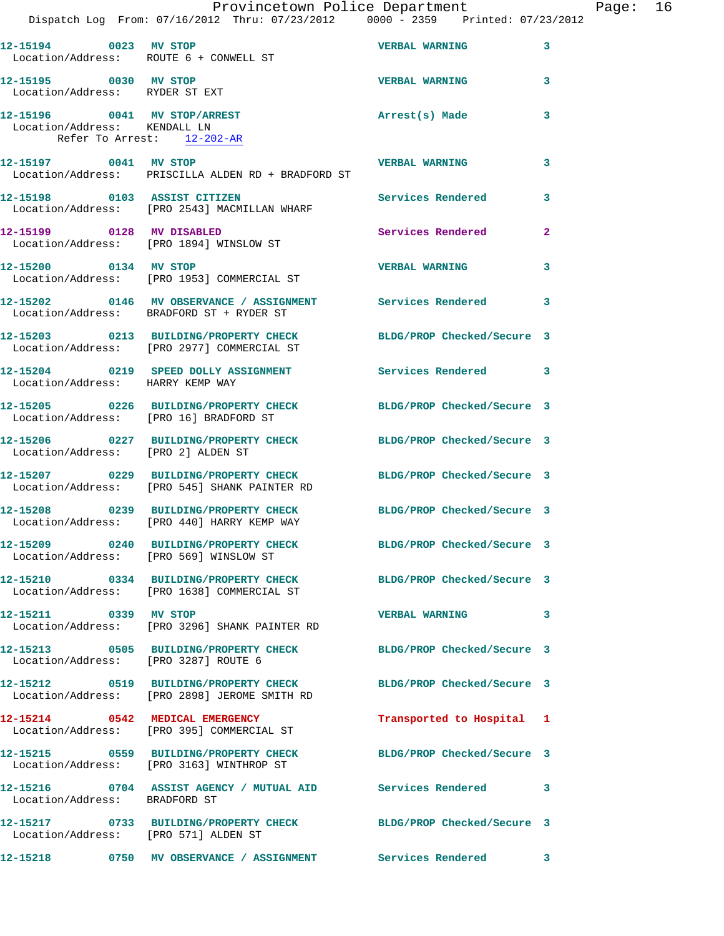|                                                                                                | Dispatch Log From: 07/16/2012 Thru: 07/23/2012 0000 - 2359 Printed: 07/23/2012                                   | Provincetown Police Department |              | Page: 16 |
|------------------------------------------------------------------------------------------------|------------------------------------------------------------------------------------------------------------------|--------------------------------|--------------|----------|
|                                                                                                | 12-15194 0023 MV STOP                                                                                            | <b>VERBAL WARNING</b> 3        |              |          |
| 12-15195 0030 MV STOP                                                                          | Location/Address: ROUTE 6 + CONWELL ST                                                                           | <b>VERBAL WARNING</b>          | 3            |          |
| Location/Address: RYDER ST EXT<br>12-15196 0041 MV STOP/ARREST<br>Location/Address: KENDALL LN |                                                                                                                  | Arrest(s) Made                 | 3            |          |
| Refer To Arrest: 12-202-AR                                                                     |                                                                                                                  |                                |              |          |
|                                                                                                | 12-15197 0041 MV STOP VERBAL WARNING<br>Location/Address: PRISCILLA ALDEN RD + BRADFORD ST                       |                                | 3            |          |
|                                                                                                | 12-15198 0103 ASSIST CITIZEN<br>Location/Address: [PRO 2543] MACMILLAN WHARF                                     | Services Rendered 3            |              |          |
|                                                                                                | 12-15199 0128 MV DISABLED<br>Location/Address: [PRO 1894] WINSLOW ST                                             | Services Rendered              | $\mathbf{2}$ |          |
| 12-15200 0134 MV STOP                                                                          | Location/Address: [PRO 1953] COMMERCIAL ST                                                                       | <b>VERBAL WARNING 3</b>        |              |          |
|                                                                                                | 12-15202 0146 MV OBSERVANCE / ASSIGNMENT Services Rendered<br>Location/Address: BRADFORD ST + RYDER ST           |                                | 3            |          |
|                                                                                                | 12-15203 0213 BUILDING/PROPERTY CHECK BLDG/PROP Checked/Secure 3<br>Location/Address: [PRO 2977] COMMERCIAL ST   |                                |              |          |
| Location/Address: HARRY KEMP WAY                                                               | 12-15204 0219 SPEED DOLLY ASSIGNMENT Services Rendered 3                                                         |                                |              |          |
| Location/Address: [PRO 16] BRADFORD ST                                                         | 12-15205 0226 BUILDING/PROPERTY CHECK BLDG/PROP Checked/Secure 3                                                 |                                |              |          |
|                                                                                                | 12-15206 0227 BUILDING/PROPERTY CHECK BLDG/PROP Checked/Secure 3<br>Location/Address: [PRO 2] ALDEN ST           |                                |              |          |
|                                                                                                | 12-15207 0229 BUILDING/PROPERTY CHECK BLDG/PROP Checked/Secure 3<br>Location/Address: [PRO 545] SHANK PAINTER RD |                                |              |          |
|                                                                                                | 12-15208 0239 BUILDING/PROPERTY CHECK BLDG/PROP Checked/Secure 3<br>Location/Address: [PRO 440] HARRY KEMP WAY   |                                |              |          |
|                                                                                                | 12-15209 0240 BUILDING/PROPERTY CHECK BLDG/PROP Checked/Secure 3<br>Location/Address: [PRO 569] WINSLOW ST       |                                |              |          |
|                                                                                                | 12-15210 0334 BUILDING/PROPERTY CHECK BLDG/PROP Checked/Secure 3<br>Location/Address: [PRO 1638] COMMERCIAL ST   |                                |              |          |
| 12-15211 0339 MV STOP                                                                          | Location/Address: [PRO 3296] SHANK PAINTER RD                                                                    | VERBAL WARNING 3               |              |          |
| Location/Address: [PRO 3287] ROUTE 6                                                           | 12-15213 0505 BUILDING/PROPERTY CHECK BLDG/PROP Checked/Secure 3                                                 |                                |              |          |
|                                                                                                | 12-15212 0519 BUILDING/PROPERTY CHECK BLDG/PROP Checked/Secure 3<br>Location/Address: [PRO 2898] JEROME SMITH RD |                                |              |          |
|                                                                                                | 12-15214 0542 MEDICAL EMERGENCY<br>Location/Address: [PRO 395] COMMERCIAL ST                                     | Transported to Hospital 1      |              |          |
|                                                                                                | 12-15215 0559 BUILDING/PROPERTY CHECK BLDG/PROP Checked/Secure 3<br>Location/Address: [PRO 3163] WINTHROP ST     |                                |              |          |
| Location/Address: BRADFORD ST                                                                  | 12-15216 0704 ASSIST AGENCY / MUTUAL AID Services Rendered 3                                                     |                                |              |          |
| Location/Address: [PRO 571] ALDEN ST                                                           | 12-15217 0733 BUILDING/PROPERTY CHECK BLDG/PROP Checked/Secure 3                                                 |                                |              |          |
|                                                                                                | 12-15218          0750   MV OBSERVANCE / ASSIGNMENT            Services Rendered           3                     |                                |              |          |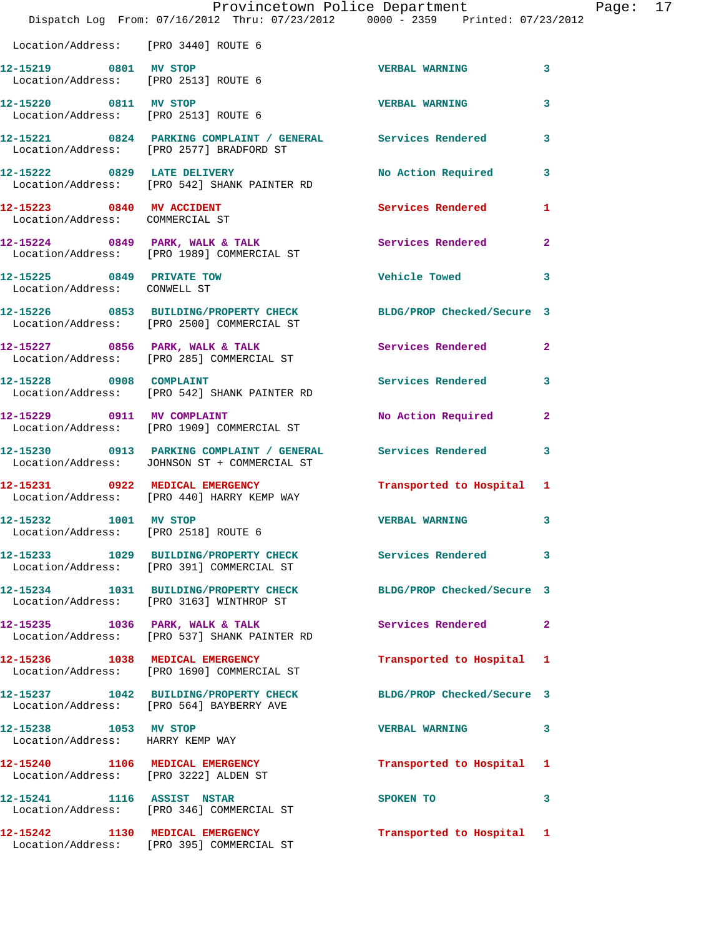|                                                               | Dispatch Log From: 07/16/2012 Thru: 07/23/2012 0000 - 2359 Printed: 07/23/2012                                 | Provincetown Police Department Page: 17 |              |  |
|---------------------------------------------------------------|----------------------------------------------------------------------------------------------------------------|-----------------------------------------|--------------|--|
| Location/Address: [PRO 3440] ROUTE 6                          |                                                                                                                |                                         |              |  |
| 12-15219 0801 MV STOP                                         | Location/Address: [PRO 2513] ROUTE 6                                                                           | VERBAL WARNING 3                        |              |  |
| Location/Address: [PRO 2513] ROUTE 6                          | 12-15220 0811 MV STOP                                                                                          | <b>VERBAL WARNING</b>                   | 3            |  |
|                                                               | 12-15221 0824 PARKING COMPLAINT / GENERAL Services Rendered<br>Location/Address: [PRO 2577] BRADFORD ST        |                                         | 3            |  |
|                                                               | 12-15222 0829 LATE DELIVERY<br>Location/Address: [PRO 542] SHANK PAINTER RD                                    | No Action Required                      | 3            |  |
| 12-15223 0840 MV ACCIDENT<br>Location/Address: COMMERCIAL ST  |                                                                                                                | Services Rendered                       | 1            |  |
|                                                               | 12-15224 0849 PARK, WALK & TALK (Services Rendered Location/Address: [PRO 1989] COMMERCIAL ST                  |                                         | $\mathbf{2}$ |  |
| 12-15225 0849 PRIVATE TOW<br>Location/Address: CONWELL ST     |                                                                                                                | Vehicle Towed                           | 3            |  |
|                                                               | 12-15226 0853 BUILDING/PROPERTY CHECK BLDG/PROP Checked/Secure 3<br>Location/Address: [PRO 2500] COMMERCIAL ST |                                         |              |  |
|                                                               | 12-15227 0856 PARK, WALK & TALK Services Rendered<br>Location/Address: [PRO 285] COMMERCIAL ST                 |                                         | $\mathbf{2}$ |  |
|                                                               | 12-15228 0908 COMPLAINT<br>Location/Address: [PRO 542] SHANK PAINTER RD                                        | Services Rendered 3                     |              |  |
|                                                               | 12-15229 0911 MV COMPLAINT<br>Location/Address: [PRO 1909] COMMERCIAL ST                                       | No Action Required                      | $\mathbf{2}$ |  |
|                                                               | 12-15230 0913 PARKING COMPLAINT / GENERAL Services Rendered 3<br>Location/Address: JOHNSON ST + COMMERCIAL ST  |                                         |              |  |
|                                                               | 12-15231 0922 MEDICAL EMERGENCY<br>Location/Address: [PRO 440] HARRY KEMP WAY                                  | Transported to Hospital 1               |              |  |
| 12-15232 1001 MV STOP<br>Location/Address: [PRO 2518] ROUTE 6 |                                                                                                                | <b>VERBAL WARNING</b>                   | 3            |  |
|                                                               | 12-15233 1029 BUILDING/PROPERTY CHECK Services Rendered<br>Location/Address: [PRO 391] COMMERCIAL ST           |                                         | 3            |  |
|                                                               | 12-15234 1031 BUILDING/PROPERTY CHECK<br>Location/Address: [PRO 3163] WINTHROP ST                              | BLDG/PROP Checked/Secure 3              |              |  |
|                                                               | 12-15235 1036 PARK, WALK & TALK<br>Location/Address: [PRO 537] SHANK PAINTER RD                                | Services Rendered                       | $\mathbf{2}$ |  |
|                                                               | 12-15236 1038 MEDICAL EMERGENCY<br>Location/Address: [PRO 1690] COMMERCIAL ST                                  | Transported to Hospital 1               |              |  |
|                                                               | 12-15237 1042 BUILDING/PROPERTY CHECK BLDG/PROP Checked/Secure 3<br>Location/Address: [PRO 564] BAYBERRY AVE   |                                         |              |  |
| 12-15238 1053 MV STOP                                         | Location/Address: HARRY KEMP WAY                                                                               | <b>VERBAL WARNING</b>                   | 3            |  |
| Location/Address: [PRO 3222] ALDEN ST                         | 12-15240 1106 MEDICAL EMERGENCY                                                                                | Transported to Hospital 1               |              |  |
|                                                               | 12-15241 1116 ASSIST NSTAR<br>Location/Address: [PRO 346] COMMERCIAL ST                                        | SPOKEN TO                               | 3            |  |
|                                                               | 12-15242 1130 MEDICAL EMERGENCY<br>Location/Address: [PRO 395] COMMERCIAL ST                                   | Transported to Hospital 1               |              |  |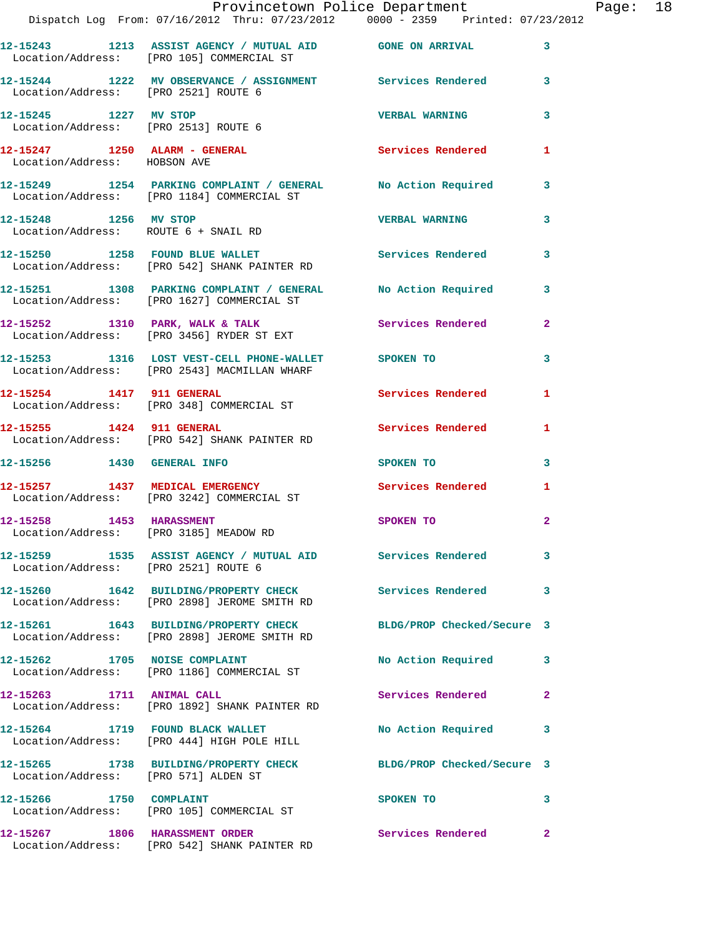|                              | Provincetown Police Department                                                                                                            |                            |                |
|------------------------------|-------------------------------------------------------------------------------------------------------------------------------------------|----------------------------|----------------|
|                              | Dispatch Log From: 07/16/2012 Thru: 07/23/2012 0000 - 2359 Printed: 07/23/2012                                                            |                            |                |
|                              | 12-15243 1213 ASSIST AGENCY / MUTUAL AID GONE ON ARRIVAL<br>Location/Address: [PRO 105] COMMERCIAL ST                                     |                            | 3              |
|                              | 12-15244 1222 MV OBSERVANCE / ASSIGNMENT Services Rendered<br>Location/Address: [PRO 2521] ROUTE 6                                        |                            | 3              |
| 12-15245 1227 MV STOP        | Location/Address: [PRO 2513] ROUTE 6                                                                                                      | <b>VERBAL WARNING</b>      | 3              |
| Location/Address: HOBSON AVE | 12-15247 1250 ALARM - GENERAL                                                                                                             | <b>Services Rendered</b>   | 1              |
|                              | 12-15249 1254 PARKING COMPLAINT / GENERAL No Action Required<br>Location/Address: [PRO 1184] COMMERCIAL ST                                |                            | 3              |
|                              | 12-15248 1256 MV STOP<br>Location/Address: ROUTE 6 + SNAIL RD                                                                             | <b>VERBAL WARNING</b>      | 3              |
|                              | 12-15250 1258 FOUND BLUE WALLET<br>Location/Address: [PRO 542] SHANK PAINTER RD                                                           | Services Rendered          | 3              |
|                              | 12-15251 1308 PARKING COMPLAINT / GENERAL No Action Required<br>Location/Address: [PRO 1627] COMMERCIAL ST                                |                            | 3              |
|                              | 12-15252 1310 PARK, WALK & TALK<br>Location/Address: [PRO 3456] RYDER ST EXT                                                              | Services Rendered          | $\mathbf{2}$   |
|                              | 12-15253 1316 LOST VEST-CELL PHONE-WALLET SPOKEN TO<br>Location/Address: [PRO 2543] MACMILLAN WHARF                                       |                            | 3              |
| 12-15254 1417 911 GENERAL    | Location/Address: [PRO 348] COMMERCIAL ST                                                                                                 | <b>Services Rendered</b>   | 1              |
|                              | 12-15255 1424 911 GENERAL<br>Location/Address: [PRO 542] SHANK PAINTER RD                                                                 | <b>Services Rendered</b>   | 1              |
| 12-15256 1430 GENERAL INFO   |                                                                                                                                           | SPOKEN TO                  | 3              |
|                              | 12-15257 1437 MEDICAL EMERGENCY<br>Location/Address: [PRO 3242] COMMERCIAL ST                                                             | <b>Services Rendered</b>   | 1              |
| 12-15258 1453 HARASSMENT     | Location/Address: [PRO 3185] MEADOW RD                                                                                                    | <b>SPOKEN TO</b>           | $\overline{a}$ |
|                              | 12-15259                 1535    ASSIST AGENCY  /  MUTUAL  AID                 Services  Rendered<br>Location/Address: [PRO 2521] ROUTE 6 |                            | 3              |
|                              | 12-15260 1642 BUILDING/PROPERTY CHECK<br>Location/Address: [PRO 2898] JEROME SMITH RD                                                     | <b>Services Rendered</b>   | 3              |
|                              | 12-15261 1643 BUILDING/PROPERTY CHECK<br>Location/Address: [PRO 2898] JEROME SMITH RD                                                     | BLDG/PROP Checked/Secure 3 |                |
|                              | 12-15262 1705 NOISE COMPLAINT<br>Location/Address: [PRO 1186] COMMERCIAL ST                                                               | No Action Required         | 3              |
|                              | 12-15263 1711 ANIMAL CALL<br>Location/Address: [PRO 1892] SHANK PAINTER RD                                                                | Services Rendered          | $\mathbf{2}$   |
|                              | 12-15264 1719 FOUND BLACK WALLET<br>Location/Address: [PRO 444] HIGH POLE HILL                                                            | No Action Required         | 3              |
|                              | 12-15265 1738 BUILDING/PROPERTY CHECK<br>Location/Address: [PRO 571] ALDEN ST                                                             | BLDG/PROP Checked/Secure 3 |                |
| 12-15266 1750 COMPLAINT      | Location/Address: [PRO 105] COMMERCIAL ST                                                                                                 | SPOKEN TO                  | 3              |
|                              | 12-15267 1806 HARASSMENT ORDER<br>Location/Address: [PRO 542] SHANK PAINTER RD                                                            | Services Rendered          | $\mathbf{2}$   |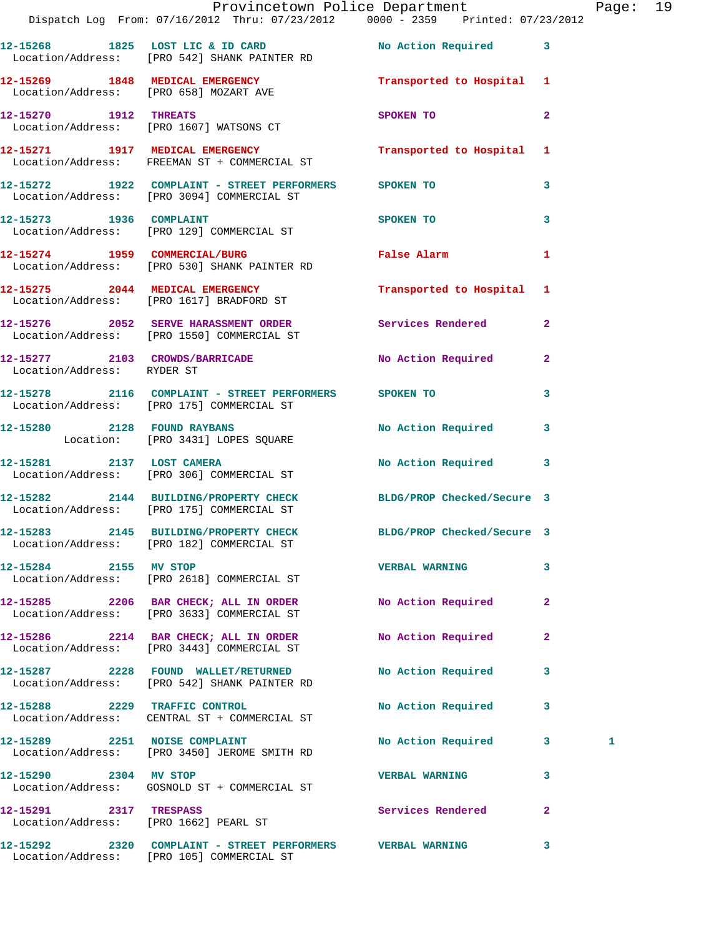|                               | Provincetown Police Department<br>Dispatch Log From: 07/16/2012 Thru: 07/23/2012 0000 - 2359 Printed: 07/23/2012 |                            |              | Page: 19 |  |
|-------------------------------|------------------------------------------------------------------------------------------------------------------|----------------------------|--------------|----------|--|
|                               | 12-15268 1825 LOST LIC & ID CARD No Action Required 3<br>Location/Address: [PRO 542] SHANK PAINTER RD            |                            |              |          |  |
|                               | 12-15269 1848 MEDICAL EMERGENCY Transported to Hospital 1<br>Location/Address: [PRO 658] MOZART AVE              |                            |              |          |  |
|                               | 12-15270 1912 THREATS<br>Location/Address: [PRO 1607] WATSONS CT                                                 | <b>SPOKEN TO</b>           | $\mathbf{2}$ |          |  |
|                               | 12-15271 1917 MEDICAL EMERGENCY<br>Location/Address: FREEMAN ST + COMMERCIAL ST                                  | Transported to Hospital 1  |              |          |  |
|                               | 12-15272 1922 COMPLAINT - STREET PERFORMERS SPOKEN TO<br>Location/Address: [PRO 3094] COMMERCIAL ST              |                            | 3            |          |  |
|                               | 12-15273 1936 COMPLAINT<br>Location/Address: [PRO 129] COMMERCIAL ST                                             | SPOKEN TO                  | $\mathbf{3}$ |          |  |
|                               | 12-15274 1959 COMMERCIAL/BURG<br>Location/Address: [PRO 530] SHANK PAINTER RD                                    | False Alarm 1              |              |          |  |
|                               | 12-15275 2044 MEDICAL EMERGENCY<br>Location/Address: [PRO 1617] BRADFORD ST                                      | Transported to Hospital 1  |              |          |  |
|                               | 12-15276 2052 SERVE HARASSMENT ORDER Services Rendered 2<br>Location/Address: [PRO 1550] COMMERCIAL ST           |                            |              |          |  |
| Location/Address: RYDER ST    | 12-15277 2103 CROWDS/BARRICADE No Action Required 2                                                              |                            |              |          |  |
|                               | 12-15278 2116 COMPLAINT - STREET PERFORMERS SPOKEN TO<br>Location/Address: [PRO 175] COMMERCIAL ST               |                            | 3            |          |  |
|                               | 12-15280 2128 FOUND RAYBANS<br>Location: [PRO 3431] LOPES SQUARE                                                 | No Action Required 3       |              |          |  |
|                               |                                                                                                                  | No Action Required 3       |              |          |  |
|                               | 12-15282 2144 BUILDING/PROPERTY CHECK BLDG/PROP Checked/Secure 3<br>Location/Address: [PRO 175] COMMERCIAL ST    |                            |              |          |  |
|                               | 12-15283 2145 BUILDING/PROPERTY CHECK<br>Location/Address: [PRO 182] COMMERCIAL ST                               | BLDG/PROP Checked/Secure 3 |              |          |  |
| 12-15284 2155 MV STOP         | Location/Address: [PRO 2618] COMMERCIAL ST                                                                       | <b>VERBAL WARNING</b>      | $\mathbf{3}$ |          |  |
|                               | 12-15285 2206 BAR CHECK; ALL IN ORDER No Action Required<br>Location/Address: [PRO 3633] COMMERCIAL ST           |                            | $\mathbf{2}$ |          |  |
|                               | 12-15286 2214 BAR CHECK; ALL IN ORDER<br>Location/Address: [PRO 3443] COMMERCIAL ST                              | No Action Required         | $\mathbf{2}$ |          |  |
|                               | 12-15287  2228  FOUND WALLET/RETURNED<br>Location/Address: [PRO 542] SHANK PAINTER RD                            | No Action Required         | $\mathbf{3}$ |          |  |
|                               | 12-15288 2229 TRAFFIC CONTROL<br>Location/Address: CENTRAL ST + COMMERCIAL ST                                    | No Action Required         | 3            |          |  |
| 12-15289 2251 NOISE COMPLAINT | Location/Address: [PRO 3450] JEROME SMITH RD                                                                     | No Action Required 3       |              | 1        |  |
|                               | 12-15290 2304 MV STOP<br>Location/Address: GOSNOLD ST + COMMERCIAL ST                                            | <b>VERBAL WARNING</b>      | 3            |          |  |
| 12-15291 2317 TRESPASS        | Location/Address: [PRO 1662] PEARL ST                                                                            | Services Rendered          | $\mathbf{2}$ |          |  |
|                               |                                                                                                                  |                            | 3            |          |  |

Location/Address: [PRO 105] COMMERCIAL ST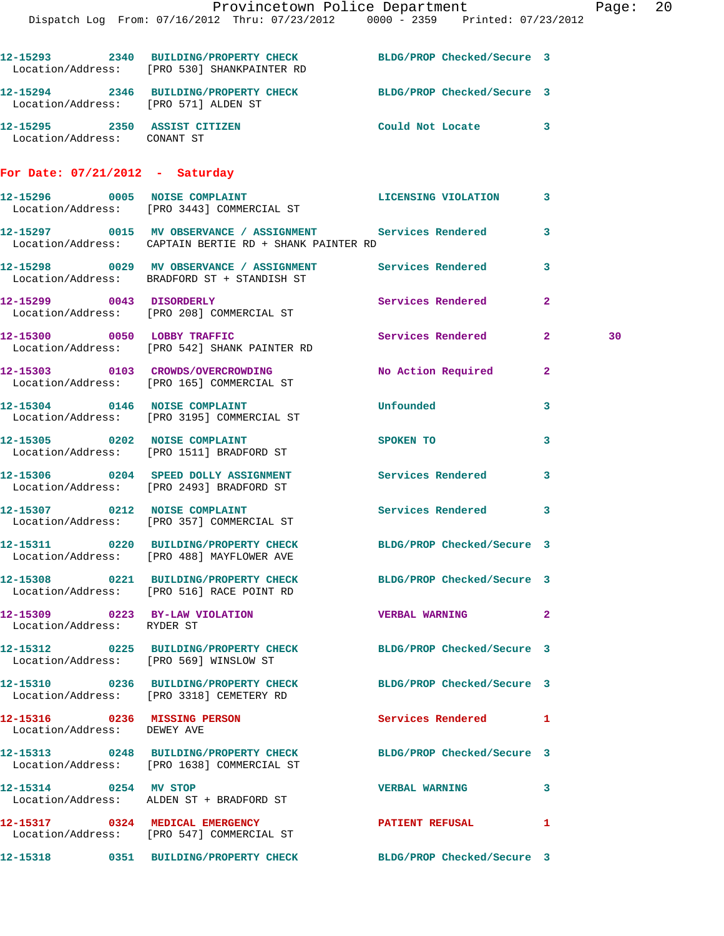|                                                             | Provincetown Police Department Page: 20                                                                              |                          |              |    |  |
|-------------------------------------------------------------|----------------------------------------------------------------------------------------------------------------------|--------------------------|--------------|----|--|
|                                                             | Dispatch Log From: 07/16/2012 Thru: 07/23/2012 0000 - 2359 Printed: 07/23/2012                                       |                          |              |    |  |
|                                                             | 12-15293 2340 BUILDING/PROPERTY CHECK BLDG/PROP Checked/Secure 3<br>Location/Address: [PRO 530] SHANKPAINTER RD      |                          |              |    |  |
| Location/Address: [PRO 571] ALDEN ST                        | 12-15294 2346 BUILDING/PROPERTY CHECK BLDG/PROP Checked/Secure 3                                                     |                          |              |    |  |
| 12-15295 2350 ASSIST CITIZEN<br>Location/Address: CONANT ST |                                                                                                                      | Could Not Locate 3       |              |    |  |
| For Date: $07/21/2012$ - Saturday                           |                                                                                                                      |                          |              |    |  |
|                                                             | 12-15296 0005 NOISE COMPLAINT<br>Location/Address: [PRO 3443] COMMERCIAL ST                                          | LICENSING VIOLATION 3    |              |    |  |
|                                                             | 12-15297 0015 MV OBSERVANCE / ASSIGNMENT Services Rendered<br>Location/Address: CAPTAIN BERTIE RD + SHANK PAINTER RD |                          | 3            |    |  |
|                                                             | 12-15298 0029 MV OBSERVANCE / ASSIGNMENT Services Rendered 3<br>Location/Address: BRADFORD ST + STANDISH ST          |                          |              |    |  |
|                                                             | 12-15299 0043 DISORDERLY<br>Location/Address: [PRO 208] COMMERCIAL ST                                                | <b>Services Rendered</b> | $\mathbf{2}$ |    |  |
|                                                             | 12-15300 0050 LOBBY TRAFFIC<br>Location/Address: [PRO 542] SHANK PAINTER RD                                          | Services Rendered 2      |              | 30 |  |
|                                                             | 12-15303 0103 CROWDS/OVERCROWDING No Action Required<br>Location/Address: [PRO 165] COMMERCIAL ST                    |                          | $\mathbf{2}$ |    |  |
| 12-15304 0146 NOISE COMPLAINT                               | Location/Address: [PRO 3195] COMMERCIAL ST                                                                           | Unfounded                | 3            |    |  |
|                                                             | 12-15305 0202 NOISE COMPLAINT<br>Location/Address: [PRO 1511] BRADFORD ST                                            | SPOKEN TO                | 3            |    |  |
|                                                             | 12-15306 0204 SPEED DOLLY ASSIGNMENT<br>Location/Address: [PRO 2493] BRADFORD ST                                     | Services Rendered        | 3            |    |  |
|                                                             | 12-15307 0212 NOISE COMPLAINT<br>Location/Address: [PRO 357] COMMERCIAL ST                                           | Services Rendered        | 3            |    |  |
|                                                             | 12-15311 0220 BUILDING/PROPERTY CHECK BLDG/PROP Checked/Secure 3<br>Location/Address: [PRO 488] MAYFLOWER AVE        |                          |              |    |  |
|                                                             | 12-15308 0221 BUILDING/PROPERTY CHECK BLDG/PROP Checked/Secure 3<br>Location/Address: [PRO 516] RACE POINT RD        |                          |              |    |  |
| Location/Address: RYDER ST                                  | 12-15309 0223 BY-LAW VIOLATION CHEREAL WARNING 2                                                                     |                          |              |    |  |
| Location/Address: [PRO 569] WINSLOW ST                      | 12-15312 0225 BUILDING/PROPERTY CHECK BLDG/PROP Checked/Secure 3                                                     |                          |              |    |  |
|                                                             | 12-15310 0236 BUILDING/PROPERTY CHECK BLDG/PROP Checked/Secure 3<br>Location/Address: [PRO 3318] CEMETERY RD         |                          |              |    |  |
| Location/Address: DEWEY AVE                                 | 12-15316 0236 MISSING PERSON                                                                                         | Services Rendered 1      |              |    |  |
|                                                             | 12-15313 0248 BUILDING/PROPERTY CHECK BLDG/PROP Checked/Secure 3<br>Location/Address: [PRO 1638] COMMERCIAL ST       |                          |              |    |  |
|                                                             | 12-15314 0254 MV STOP<br>Location/Address: ALDEN ST + BRADFORD ST                                                    | <b>VERBAL WARNING</b>    | 3            |    |  |
|                                                             | 12-15317 0324 MEDICAL EMERGENCY<br>Location/Address: [PRO 547] COMMERCIAL ST                                         | <b>PATIENT REFUSAL</b>   | $\mathbf{1}$ |    |  |
|                                                             | 12-15318 0351 BUILDING/PROPERTY CHECK BLDG/PROP Checked/Secure 3                                                     |                          |              |    |  |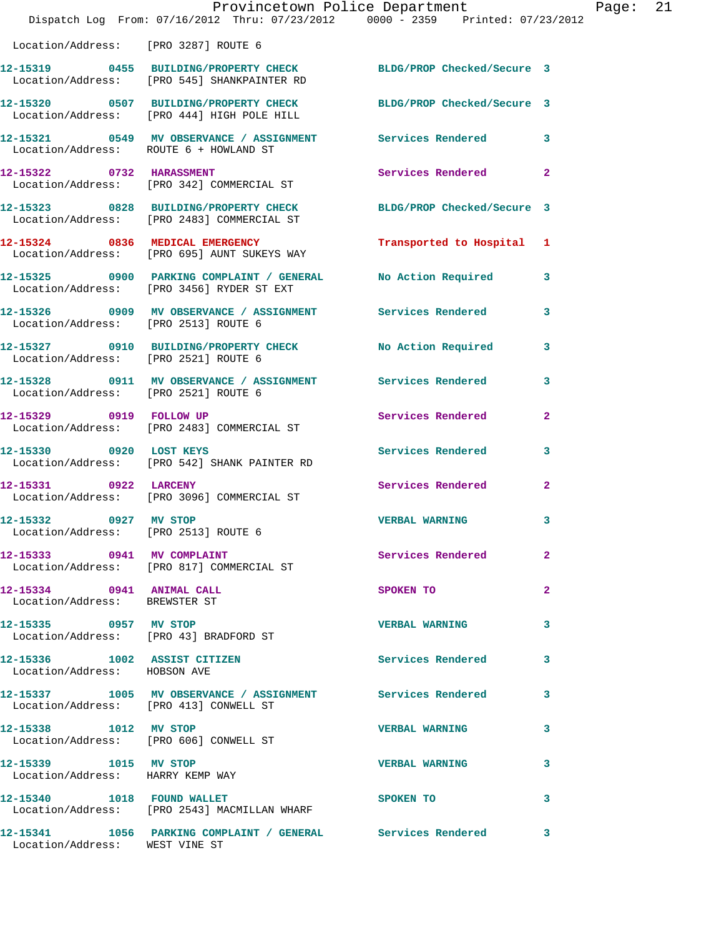|                                                            | Dispatch Log From: 07/16/2012 Thru: 07/23/2012 0000 - 2359 Printed: 07/23/2012                                  | Provincetown Police Department Page: 21 |                         |  |
|------------------------------------------------------------|-----------------------------------------------------------------------------------------------------------------|-----------------------------------------|-------------------------|--|
| Location/Address: [PRO 3287] ROUTE 6                       |                                                                                                                 |                                         |                         |  |
|                                                            | 12-15319 0455 BUILDING/PROPERTY CHECK BLDG/PROP Checked/Secure 3<br>Location/Address: [PRO 545] SHANKPAINTER RD |                                         |                         |  |
|                                                            | 12-15320 0507 BUILDING/PROPERTY CHECK BLDG/PROP Checked/Secure 3<br>Location/Address: [PRO 444] HIGH POLE HILL  |                                         |                         |  |
|                                                            | 12-15321 0549 MV OBSERVANCE / ASSIGNMENT Services Rendered 3<br>Location/Address: ROUTE 6 + HOWLAND ST          |                                         |                         |  |
|                                                            | 12-15322 0732 HARASSMENT<br>Location/Address: [PRO 342] COMMERCIAL ST                                           | Services Rendered 2                     |                         |  |
|                                                            | 12-15323 0828 BUILDING/PROPERTY CHECK BLDG/PROP Checked/Secure 3<br>Location/Address: [PRO 2483] COMMERCIAL ST  |                                         |                         |  |
|                                                            | 12-15324 0836 MEDICAL EMERGENCY Transported to Hospital 1<br>Location/Address: [PRO 695] AUNT SUKEYS WAY        |                                         |                         |  |
|                                                            | 12-15325 0900 PARKING COMPLAINT / GENERAL No Action Required 3<br>Location/Address: [PRO 3456] RYDER ST EXT     |                                         |                         |  |
| Location/Address: [PRO 2513] ROUTE 6                       | 12-15326 0909 MV OBSERVANCE / ASSIGNMENT Services Rendered 3                                                    |                                         |                         |  |
|                                                            | 12-15327 0910 BUILDING/PROPERTY CHECK No Action Required 3<br>Location/Address: [PRO 2521] ROUTE 6              |                                         |                         |  |
| Location/Address: [PRO 2521] ROUTE 6                       | 12-15328 0911 MV OBSERVANCE / ASSIGNMENT Services Rendered 3                                                    |                                         |                         |  |
|                                                            | 12-15329 0919 FOLLOW UP<br>Location/Address: [PRO 2483] COMMERCIAL ST                                           | Services Rendered                       | $\mathbf{2}$            |  |
|                                                            | 12-15330 0920 LOST KEYS<br>Location/Address: [PRO 542] SHANK PAINTER RD                                         | Services Rendered                       | $\overline{\mathbf{3}}$ |  |
|                                                            | 12-15331 0922 LARCENY<br>Location/Address: [PRO 3096] COMMERCIAL ST                                             | Services Rendered 2                     |                         |  |
| Location/Address: [PRO 2513] ROUTE 6                       | 12-15332 0927 MV STOP                                                                                           | <b>VERBAL WARNING</b>                   |                         |  |
|                                                            | 12-15333 0941 MV COMPLAINT<br>Location/Address: [PRO 817] COMMERCIAL ST                                         | Services Rendered                       | $\overline{2}$          |  |
| 12-15334 0941 ANIMAL CALL<br>Location/Address: BREWSTER ST |                                                                                                                 | SPOKEN TO                               | $\mathbf{2}$            |  |
| 12-15335 0957 MV STOP                                      | Location/Address: [PRO 43] BRADFORD ST                                                                          | <b>VERBAL WARNING</b>                   | 3                       |  |
| Location/Address: HOBSON AVE                               | 12-15336 1002 ASSIST CITIZEN                                                                                    | Services Rendered 3                     |                         |  |
|                                                            | 12-15337 1005 MV OBSERVANCE / ASSIGNMENT Services Rendered<br>Location/Address: [PRO 413] CONWELL ST            |                                         | 3                       |  |
| 12-15338 1012 MV STOP                                      | Location/Address: [PRO 606] CONWELL ST                                                                          | <b>VERBAL WARNING</b>                   | 3                       |  |
| 12-15339 1015 MV STOP<br>Location/Address: HARRY KEMP WAY  |                                                                                                                 | <b>VERBAL WARNING</b>                   | 3                       |  |
|                                                            | 12-15340 1018 FOUND WALLET<br>Location/Address: [PRO 2543] MACMILLAN WHARF                                      | <b>SPOKEN TO</b>                        | 3                       |  |
| Location/Address: WEST VINE ST                             | 12-15341 1056 PARKING COMPLAINT / GENERAL Services Rendered 3                                                   |                                         |                         |  |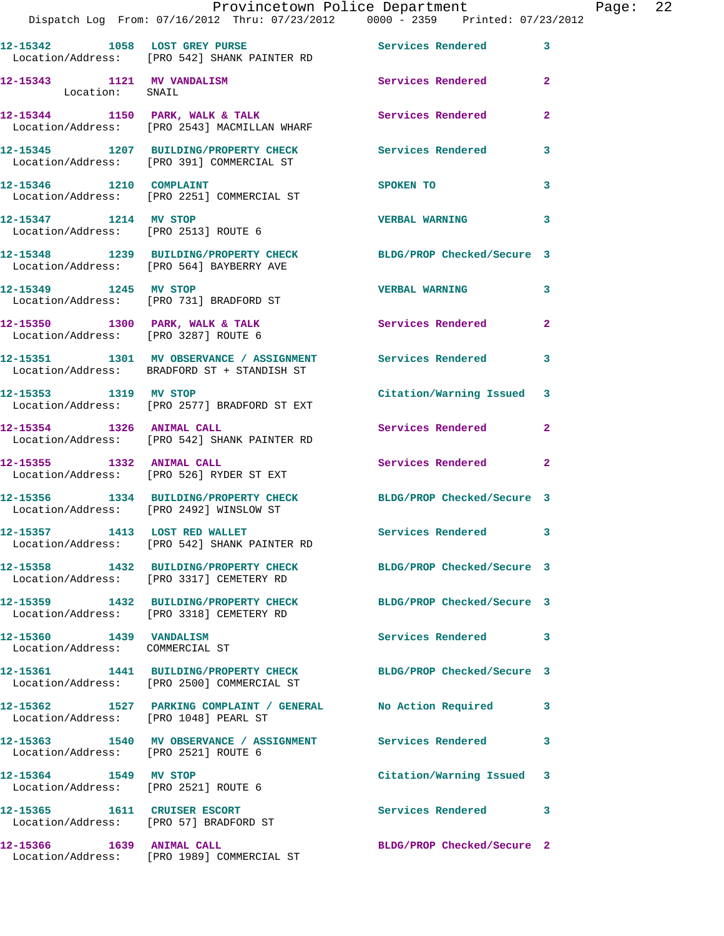|                                                                        | Provincetown Police Department                                                                                 |                            |                         |
|------------------------------------------------------------------------|----------------------------------------------------------------------------------------------------------------|----------------------------|-------------------------|
|                                                                        | Dispatch Log From: 07/16/2012 Thru: 07/23/2012 0000 - 2359 Printed: 07/23/2012                                 |                            |                         |
|                                                                        | 12-15342 1058 LOST GREY PURSE<br>Location/Address: [PRO 542] SHANK PAINTER RD                                  | Services Rendered          | 3                       |
| 12-15343 1121 MV VANDALISM<br>Location: SNAIL                          |                                                                                                                | Services Rendered          | $\overline{2}$          |
|                                                                        | 12-15344 1150 PARK, WALK & TALK<br>Location/Address: [PRO 2543] MACMILLAN WHARF                                | Services Rendered          | $\overline{a}$          |
|                                                                        | 12-15345 1207 BUILDING/PROPERTY CHECK<br>Location/Address: [PRO 391] COMMERCIAL ST                             | Services Rendered          | 3                       |
| 12-15346 1210 COMPLAINT                                                | Location/Address: [PRO 2251] COMMERCIAL ST                                                                     | SPOKEN TO                  | 3                       |
| 12-15347 1214 MV STOP                                                  | Location/Address: [PRO 2513] ROUTE 6                                                                           | <b>VERBAL WARNING</b>      | 3                       |
|                                                                        | 12-15348 1239 BUILDING/PROPERTY CHECK<br>Location/Address: [PRO 564] BAYBERRY AVE                              | BLDG/PROP Checked/Secure 3 |                         |
|                                                                        | 12-15349 1245 MV STOP<br>Location/Address: [PRO 731] BRADFORD ST                                               | <b>VERBAL WARNING</b>      | 3                       |
|                                                                        | $12-15350$ 1300 PARK, WALK & TALK<br>Location/Address: [PRO 3287] ROUTE 6                                      | Services Rendered          | $\mathbf{2}$            |
|                                                                        | 12-15351 1301 MV OBSERVANCE / ASSIGNMENT Services Rendered<br>Location/Address: BRADFORD ST + STANDISH ST      |                            | 3                       |
| 12-15353 1319 MV STOP                                                  | Location/Address: [PRO 2577] BRADFORD ST EXT                                                                   | Citation/Warning Issued    | 3                       |
|                                                                        | 12-15354 1326 ANIMAL CALL<br>Location/Address: [PRO 542] SHANK PAINTER RD                                      | Services Rendered          | $\mathbf{2}$            |
|                                                                        | 12-15355 1332 ANIMAL CALL<br>Location/Address: [PRO 526] RYDER ST EXT                                          | Services Rendered          | $\mathbf{2}$            |
|                                                                        | 12-15356 1334 BUILDING/PROPERTY CHECK<br>Location/Address: [PRO 2492] WINSLOW ST                               | BLDG/PROP Checked/Secure 3 |                         |
| 12-15357 1413 LOST RED WALLET                                          | Location/Address: [PRO 542] SHANK PAINTER RD                                                                   | <b>Services Rendered</b>   | $\overline{\mathbf{3}}$ |
|                                                                        | 12-15358 1432 BUILDING/PROPERTY CHECK BLDG/PROP Checked/Secure 3<br>Location/Address: [PRO 3317] CEMETERY RD   |                            |                         |
|                                                                        | 12-15359 1432 BUILDING/PROPERTY CHECK<br>Location/Address: [PRO 3318] CEMETERY RD                              | BLDG/PROP Checked/Secure 3 |                         |
| 12-15360 1439 VANDALISM<br>Location/Address: COMMERCIAL ST             |                                                                                                                | Services Rendered          | 3                       |
|                                                                        | 12-15361 1441 BUILDING/PROPERTY CHECK BLDG/PROP Checked/Secure 3<br>Location/Address: [PRO 2500] COMMERCIAL ST |                            |                         |
| Location/Address: [PRO 1048] PEARL ST                                  | 12-15362 1527 PARKING COMPLAINT / GENERAL                                                                      | No Action Required         | 3                       |
| Location/Address: [PRO 2521] ROUTE 6                                   | 12-15363 1540 MV OBSERVANCE / ASSIGNMENT Services Rendered                                                     |                            | 3                       |
| 12-15364 1549 MV STOP<br>Location/Address: [PRO 2521] ROUTE 6          |                                                                                                                | Citation/Warning Issued    | 3                       |
| 12-15365 1611 CRUISER ESCORT<br>Location/Address: [PRO 57] BRADFORD ST |                                                                                                                | Services Rendered          | 3                       |
|                                                                        | Location/Address: [PRO 1989] COMMERCIAL ST                                                                     | BLDG/PROP Checked/Secure 2 |                         |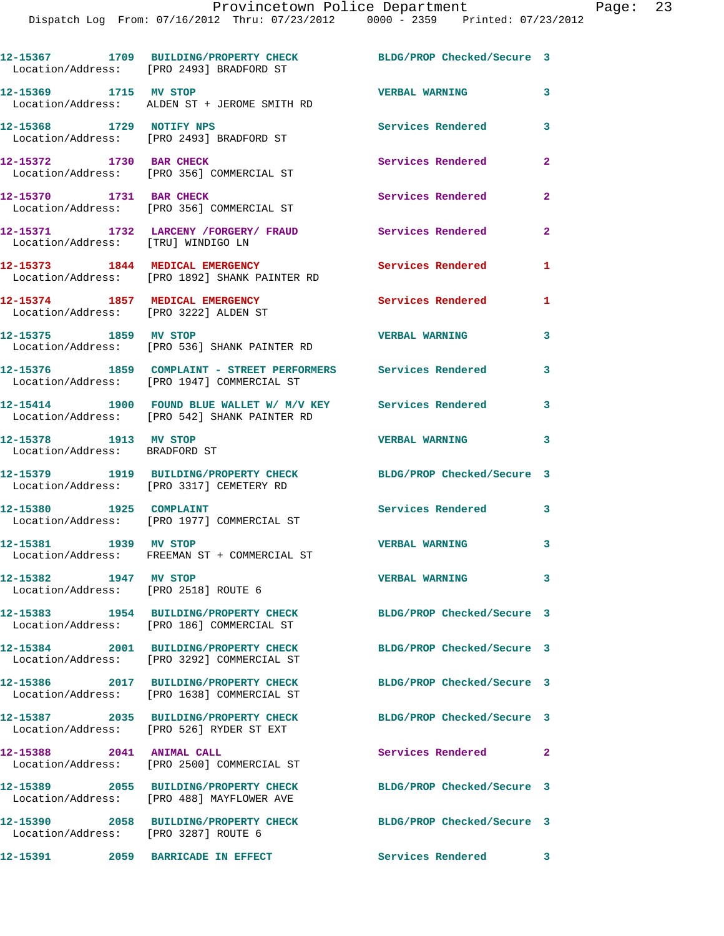|                                                               | 12-15367 1709 BUILDING/PROPERTY CHECK<br>Location/Address: [PRO 2493] BRADFORD ST                            | BLDG/PROP Checked/Secure 3 |                |
|---------------------------------------------------------------|--------------------------------------------------------------------------------------------------------------|----------------------------|----------------|
| 12-15369 1715 MV STOP                                         | Location/Address: ALDEN ST + JEROME SMITH RD                                                                 | <b>VERBAL WARNING</b>      | 3              |
|                                                               | 12-15368 1729 NOTIFY NPS<br>Location/Address: [PRO 2493] BRADFORD ST                                         | Services Rendered          | 3              |
| 12-15372 1730 BAR CHECK                                       | Location/Address: [PRO 356] COMMERCIAL ST                                                                    | Services Rendered          | $\mathbf{2}$   |
| 12-15370 1731 BAR CHECK                                       | Location/Address: [PRO 356] COMMERCIAL ST                                                                    | Services Rendered          | $\overline{a}$ |
| Location/Address: [TRU] WINDIGO LN                            | 12-15371 1732 LARCENY / FORGERY / FRAUD                                                                      | <b>Services Rendered</b>   | $\mathbf{2}$   |
|                                                               | 12-15373 1844 MEDICAL EMERGENCY<br>Location/Address: [PRO 1892] SHANK PAINTER RD                             | Services Rendered          | 1              |
| Location/Address: [PRO 3222] ALDEN ST                         | 12-15374 1857 MEDICAL EMERGENCY                                                                              | Services Rendered          | 1              |
| 12-15375 1859 MV STOP                                         | Location/Address: [PRO 536] SHANK PAINTER RD                                                                 | <b>VERBAL WARNING</b>      | 3              |
|                                                               | 12-15376 1859 COMPLAINT - STREET PERFORMERS Services Rendered<br>Location/Address: [PRO 1947] COMMERCIAL ST  |                            | 3              |
|                                                               | 12-15414 1900 FOUND BLUE WALLET W/ M/V KEY Services Rendered<br>Location/Address: [PRO 542] SHANK PAINTER RD |                            | 3              |
| 12-15378 1913 MV STOP<br>Location/Address: BRADFORD ST        |                                                                                                              | <b>VERBAL WARNING</b>      | 3              |
|                                                               | 12-15379 1919 BUILDING/PROPERTY CHECK<br>Location/Address: [PRO 3317] CEMETERY RD                            | BLDG/PROP Checked/Secure 3 |                |
|                                                               | 12-15380 1925 COMPLAINT<br>Location/Address: [PRO 1977] COMMERCIAL ST                                        | Services Rendered          | $\mathbf{3}$   |
| 12-15381 1939 MV STOP                                         | Location/Address: FREEMAN ST + COMMERCIAL ST                                                                 | <b>VERBAL WARNING</b>      | 3              |
| 12-15382 1947 MV STOP<br>Location/Address: [PRO 2518] ROUTE 6 |                                                                                                              | <b>VERBAL WARNING</b>      | 3              |
|                                                               | 12-15383 1954 BUILDING/PROPERTY CHECK<br>Location/Address: [PRO 186] COMMERCIAL ST                           | BLDG/PROP Checked/Secure 3 |                |
|                                                               | 12-15384 2001 BUILDING/PROPERTY CHECK<br>Location/Address: [PRO 3292] COMMERCIAL ST                          | BLDG/PROP Checked/Secure 3 |                |
|                                                               | 12-15386 2017 BUILDING/PROPERTY CHECK<br>Location/Address: [PRO 1638] COMMERCIAL ST                          | BLDG/PROP Checked/Secure 3 |                |
|                                                               | 12-15387 2035 BUILDING/PROPERTY CHECK<br>Location/Address: [PRO 526] RYDER ST EXT                            | BLDG/PROP Checked/Secure 3 |                |
| 12-15388 2041 ANIMAL CALL                                     | Location/Address: [PRO 2500] COMMERCIAL ST                                                                   | Services Rendered 2        |                |
|                                                               | 12-15389 2055 BUILDING/PROPERTY CHECK<br>Location/Address: [PRO 488] MAYFLOWER AVE                           | BLDG/PROP Checked/Secure 3 |                |
| Location/Address: [PRO 3287] ROUTE 6                          | 12-15390 2058 BUILDING/PROPERTY CHECK                                                                        | BLDG/PROP Checked/Secure 3 |                |
| 12-15391                                                      | <b>2059 BARRICADE IN EFFECT</b>                                                                              | Services Rendered          | 3              |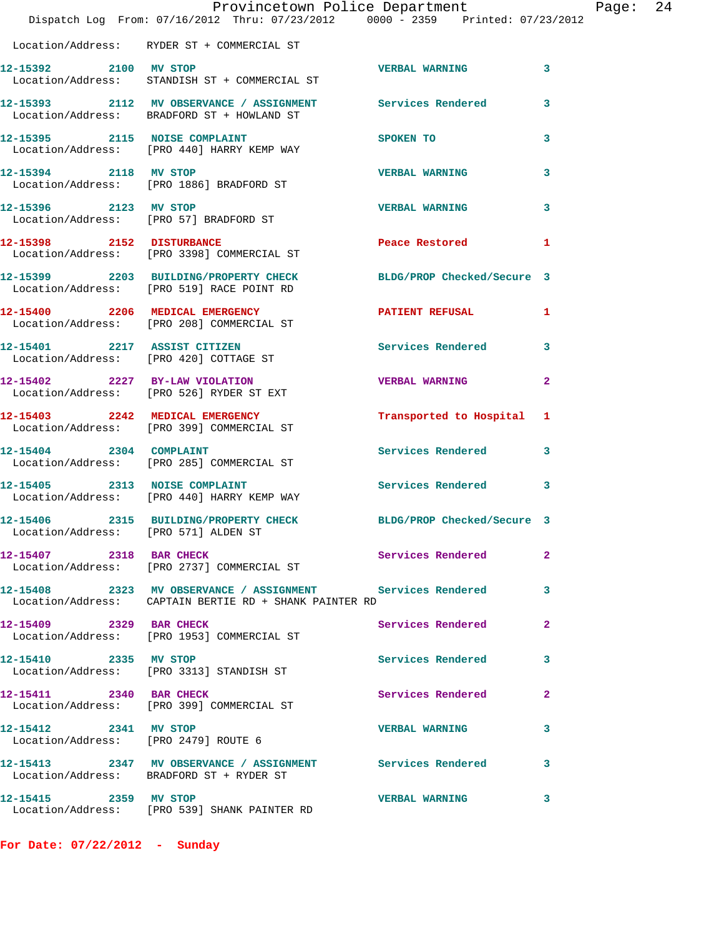|                                      | Provincetown Police Department<br>Dispatch Log From: 07/16/2012 Thru: 07/23/2012 0000 - 2359 Printed: 07/23/2012     |                                       |              | Page: | 24 |
|--------------------------------------|----------------------------------------------------------------------------------------------------------------------|---------------------------------------|--------------|-------|----|
|                                      | Location/Address: RYDER ST + COMMERCIAL ST                                                                           |                                       |              |       |    |
| 12-15392 2100 MV STOP                | Location/Address: STANDISH ST + COMMERCIAL ST                                                                        | <b>VERBAL WARNING</b>                 | 3            |       |    |
|                                      | 12-15393 2112 MV OBSERVANCE / ASSIGNMENT Services Rendered 3<br>Location/Address: BRADFORD ST + HOWLAND ST           |                                       |              |       |    |
|                                      | 12-15395 2115 NOISE COMPLAINT<br>Location/Address: [PRO 440] HARRY KEMP WAY                                          | <b>SPOKEN TO</b>                      | 3            |       |    |
|                                      | 12-15394 2118 MV STOP<br>Location/Address: [PRO 1886] BRADFORD ST                                                    | <b>VERBAL WARNING</b>                 | 3            |       |    |
| 12-15396 2123 MV STOP                | Location/Address: [PRO 57] BRADFORD ST                                                                               | <b>VERBAL WARNING</b>                 | 3            |       |    |
|                                      | 12-15398 2152 DISTURBANCE<br>Location/Address: [PRO 3398] COMMERCIAL ST                                              | Peace Restored and the Peace Restored | 1            |       |    |
|                                      | 12-15399 2203 BUILDING/PROPERTY CHECK BLDG/PROP Checked/Secure 3<br>Location/Address: [PRO 519] RACE POINT RD        |                                       |              |       |    |
|                                      | 12-15400 2206 MEDICAL EMERGENCY<br>Location/Address: [PRO 208] COMMERCIAL ST                                         | PATIENT REFUSAL                       | $\mathbf{1}$ |       |    |
|                                      | 12-15401 2217 ASSIST CITIZEN<br>Location/Address: [PRO 420] COTTAGE ST                                               | <b>Services Rendered</b>              | $\mathbf{3}$ |       |    |
|                                      | 12-15402 2227 BY-LAW VIOLATION<br>Location/Address: [PRO 526] RYDER ST EXT                                           | <b>VERBAL WARNING</b>                 | $\mathbf{2}$ |       |    |
|                                      | 12-15403 2242 MEDICAL EMERGENCY<br>Location/Address: [PRO 399] COMMERCIAL ST                                         | Transported to Hospital 1             |              |       |    |
|                                      | 12-15404 2304 COMPLAINT<br>Location/Address: [PRO 285] COMMERCIAL ST                                                 | Services Rendered 3                   |              |       |    |
|                                      | 12-15405 2313 NOISE COMPLAINT<br>Location/Address: [PRO 440] HARRY KEMP WAY                                          | Services Rendered 3                   |              |       |    |
| Location/Address: [PRO 571] ALDEN ST | 12-15406 2315 BUILDING/PROPERTY CHECK BLDG/PROP Checked/Secure 3                                                     |                                       |              |       |    |
| 12-15407 2318 BAR CHECK              | Location/Address: [PRO 2737] COMMERCIAL ST                                                                           | Services Rendered                     | $\mathbf{2}$ |       |    |
|                                      | 12-15408 2323 MV OBSERVANCE / ASSIGNMENT Services Rendered<br>Location/Address: CAPTAIN BERTIE RD + SHANK PAINTER RD |                                       | 3            |       |    |
| 12-15409 2329 BAR CHECK              | Location/Address: [PRO 1953] COMMERCIAL ST                                                                           | Services Rendered                     | $\mathbf{2}$ |       |    |
|                                      | 12-15410 2335 MV STOP<br>Location/Address: [PRO 3313] STANDISH ST                                                    | Services Rendered                     | 3            |       |    |
| 12-15411 2340 BAR CHECK              | Location/Address: [PRO 399] COMMERCIAL ST                                                                            | Services Rendered 2                   |              |       |    |
| 12-15412 2341 MV STOP                | Location/Address: [PRO 2479] ROUTE 6                                                                                 | <b>VERBAL WARNING</b>                 | 3            |       |    |
|                                      | 12-15413 2347 MV OBSERVANCE / ASSIGNMENT Services Rendered 3<br>Location/Address: BRADFORD ST + RYDER ST             |                                       |              |       |    |
| 12-15415 2359 MV STOP                | Location/Address: [PRO 539] SHANK PAINTER RD                                                                         | VERBAL WARNING 3                      |              |       |    |

**For Date: 07/22/2012 - Sunday**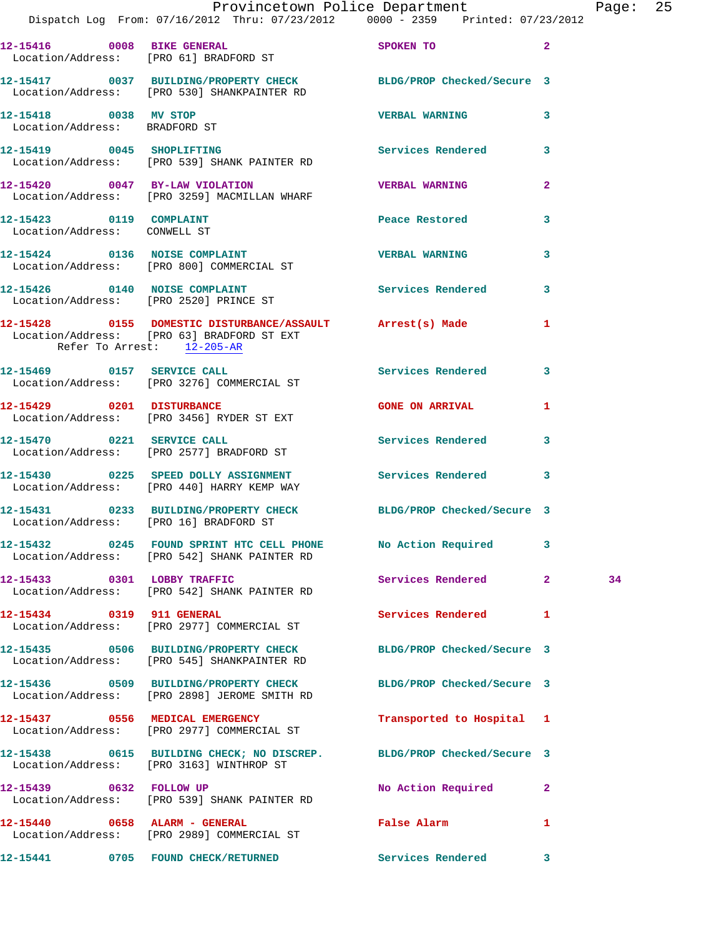|                                                         | Dispatch Log From: 07/16/2012 Thru: 07/23/2012 0000 - 2359 Printed: 07/23/2012                                   | Provincetown Police Department Page: 25     |              |    |  |
|---------------------------------------------------------|------------------------------------------------------------------------------------------------------------------|---------------------------------------------|--------------|----|--|
|                                                         |                                                                                                                  |                                             |              |    |  |
|                                                         | 12-15416 0008 BIKE GENERAL<br>Location/Address: [PRO 61] BRADFORD ST                                             | SPOKEN TO 2                                 |              |    |  |
|                                                         | 12-15417 0037 BUILDING/PROPERTY CHECK BLDG/PROP Checked/Secure 3<br>Location/Address: [PRO 530] SHANKPAINTER RD  |                                             |              |    |  |
| 12-15418 0038 MV STOP<br>Location/Address: BRADFORD ST  |                                                                                                                  | <b>VERBAL WARNING</b>                       | 3            |    |  |
|                                                         | 12-15419 0045 SHOPLIFTING Services Rendered 3<br>Location/Address: [PRO 539] SHANK PAINTER RD                    |                                             |              |    |  |
|                                                         | 12-15420 0047 BY-LAW VIOLATION<br>Location/Address: [PRO 3259] MACMILLAN WHARF                                   | <b>VERBAL WARNING</b>                       | $\mathbf{2}$ |    |  |
| 12-15423 0119 COMPLAINT<br>Location/Address: CONWELL ST |                                                                                                                  | Peace Restored                              | 3            |    |  |
|                                                         | 12-15424 0136 NOISE COMPLAINT<br>Location/Address: [PRO 800] COMMERCIAL ST                                       | <b>VERBAL WARNING</b>                       | 3            |    |  |
|                                                         | 12-15426 0140 NOISE COMPLAINT<br>Location/Address: [PRO 2520] PRINCE ST                                          | Services Rendered                           | $\mathbf{3}$ |    |  |
| Refer To Arrest: 12-205-AR                              | 12-15428 0155 DOMESTIC DISTURBANCE/ASSAULT Arrest(s) Made 1<br>Location/Address: [PRO 63] BRADFORD ST EXT        |                                             |              |    |  |
|                                                         | 12-15469 0157 SERVICE CALL<br>Location/Address: [PRO 3276] COMMERCIAL ST                                         | Services Rendered                           | 3            |    |  |
|                                                         | 12-15429 0201 DISTURBANCE<br>Location/Address: [PRO 3456] RYDER ST EXT                                           | <b>GONE ON ARRIVAL</b>                      | $\mathbf{1}$ |    |  |
|                                                         | 12-15470 0221 SERVICE CALL<br>Location/Address: [PRO 2577] BRADFORD ST                                           | Services Rendered 3                         |              |    |  |
|                                                         | 12-15430 0225 SPEED DOLLY ASSIGNMENT Services Rendered 3<br>Location/Address: [PRO 440] HARRY KEMP WAY           |                                             |              |    |  |
| Location/Address: [PRO 16] BRADFORD ST                  | 12-15431 0233 BUILDING/PROPERTY CHECK BLDG/PROP Checked/Secure 3                                                 |                                             |              |    |  |
|                                                         | 12-15432 0245 FOUND SPRINT HTC CELL PHONE No Action Required 3<br>Location/Address: [PRO 542] SHANK PAINTER RD   |                                             |              |    |  |
|                                                         | 12-15433 0301 LOBBY TRAFFIC<br>Location/Address: [PRO 542] SHANK PAINTER RD                                      | Services Rendered 2                         |              | 34 |  |
| 12-15434 0319 911 GENERAL                               | Location/Address: [PRO 2977] COMMERCIAL ST                                                                       | Services Rendered 1                         |              |    |  |
|                                                         | 12-15435 0506 BUILDING/PROPERTY CHECK<br>Location/Address: [PRO 545] SHANKPAINTER RD                             | BLDG/PROP Checked/Secure 3                  |              |    |  |
|                                                         | 12-15436 0509 BUILDING/PROPERTY CHECK BLDG/PROP Checked/Secure 3<br>Location/Address: [PRO 2898] JEROME SMITH RD |                                             |              |    |  |
|                                                         | 12-15437 0556 MEDICAL EMERGENCY<br>Location/Address: [PRO 2977] COMMERCIAL ST                                    | Transported to Hospital 1                   |              |    |  |
|                                                         | 12-15438 0615 BUILDING CHECK; NO DISCREP. BLDG/PROP Checked/Secure 3<br>Location/Address: [PRO 3163] WINTHROP ST |                                             |              |    |  |
|                                                         | 12-15439 0632 FOLLOW UP<br>Location/Address: [PRO 539] SHANK PAINTER RD                                          | No Action Required 2                        |              |    |  |
| 12-15440 0658 ALARM - GENERAL                           | Location/Address: [PRO 2989] COMMERCIAL ST                                                                       | False Alarm <b>Exercise Service Service</b> | 1            |    |  |
|                                                         | 12-15441 0705 FOUND CHECK/RETURNED Services Rendered 3                                                           |                                             |              |    |  |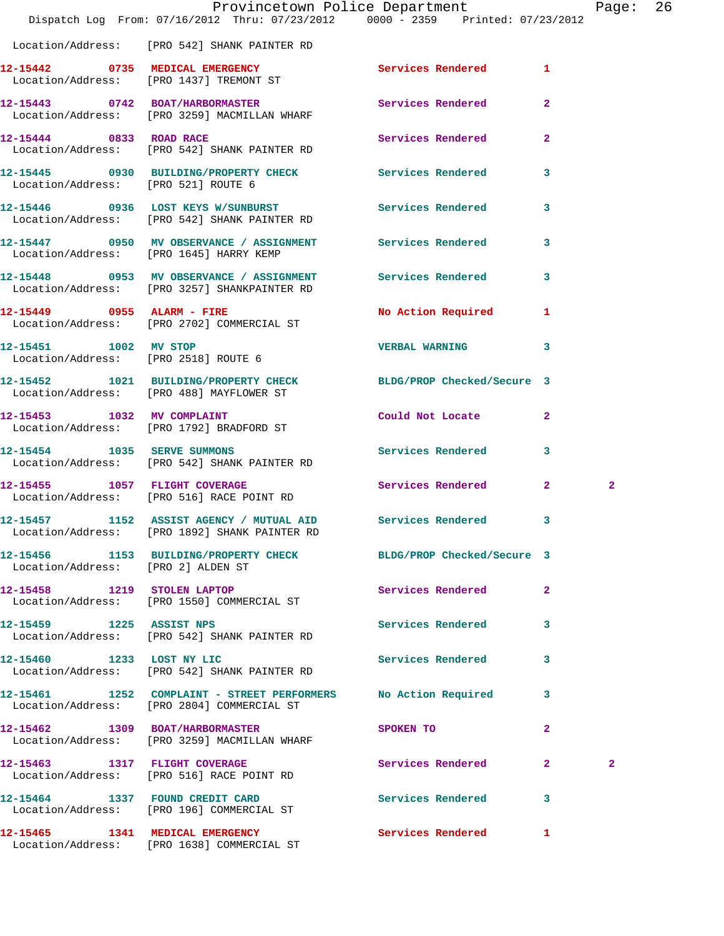|                                    | Dispatch Log From: 07/16/2012 Thru: 07/23/2012 0000 - 2359 Printed: 07/23/2012                                 | Provincetown Police Department |              | Page: 26       |  |
|------------------------------------|----------------------------------------------------------------------------------------------------------------|--------------------------------|--------------|----------------|--|
|                                    | Location/Address: [PRO 542] SHANK PAINTER RD                                                                   |                                |              |                |  |
|                                    | 12-15442 0735 MEDICAL EMERGENCY Services Rendered 1<br>Location/Address: [PRO 1437] TREMONT ST                 |                                |              |                |  |
|                                    | 12-15443 0742 BOAT/HARBORMASTER Services Rendered 2<br>Location/Address: [PRO 3259] MACMILLAN WHARF            |                                |              |                |  |
|                                    | 12-15444 0833 ROAD RACE<br>Location/Address: [PRO 542] SHANK PAINTER RD                                        | Services Rendered              | $\mathbf{2}$ |                |  |
|                                    | 12-15445 0930 BUILDING/PROPERTY CHECK Services Rendered<br>Location/Address: [PRO 521] ROUTE 6                 |                                | $\mathbf{3}$ |                |  |
|                                    |                                                                                                                |                                | $\mathbf{3}$ |                |  |
|                                    | 12-15447 0950 MV OBSERVANCE / ASSIGNMENT Services Rendered<br>Location/Address: [PRO 1645] HARRY KEMP          |                                | 3            |                |  |
|                                    | 12-15448 0953 MV OBSERVANCE / ASSIGNMENT Services Rendered 3<br>Location/Address: [PRO 3257] SHANKPAINTER RD   |                                |              |                |  |
|                                    | 12-15449 0955 ALARM - FIRE<br>Location/Address: [PRO 2702] COMMERCIAL ST                                       | No Action Required 1           |              |                |  |
| 12-15451 1002 MV STOP              | Location/Address: [PRO 2518] ROUTE 6                                                                           | VERBAL WARNING 3               |              |                |  |
|                                    | 12-15452 1021 BUILDING/PROPERTY CHECK BLDG/PROP Checked/Secure 3<br>Location/Address: [PRO 488] MAYFLOWER ST   |                                |              |                |  |
|                                    | 12-15453 1032 MV COMPLAINT<br>Location/Address: [PRO 1792] BRADFORD ST                                         | Could Not Locate 2             |              |                |  |
|                                    | 12-15454 1035 SERVE SUMMONS<br>Location/Address: [PRO 542] SHANK PAINTER RD                                    | Services Rendered 3            |              |                |  |
| 12-15455 1057 FLIGHT COVERAGE      | Location/Address: [PRO 516] RACE POINT RD                                                                      | Services Rendered 2            |              | $\mathbf{2}$   |  |
|                                    | 12-15457 1152 ASSIST AGENCY / MUTUAL AID Services Rendered<br>Location/Address: [PRO 1892] SHANK PAINTER RD    |                                | 3            |                |  |
| Location/Address: [PRO 2] ALDEN ST | 12-15456 1153 BUILDING/PROPERTY CHECK BLDG/PROP Checked/Secure 3                                               |                                |              |                |  |
|                                    | 12-15458 1219 STOLEN LAPTOP<br>Location/Address: [PRO 1550] COMMERCIAL ST                                      | Services Rendered              | $\mathbf{2}$ |                |  |
| 12-15459 1225 ASSIST NPS           | Location/Address: [PRO 542] SHANK PAINTER RD                                                                   | Services Rendered              | 3            |                |  |
|                                    | 12-15460 1233 LOST NY LIC<br>Location/Address: [PRO 542] SHANK PAINTER RD                                      | <b>Services Rendered</b>       | 3            |                |  |
|                                    | 12-15461 1252 COMPLAINT - STREET PERFORMERS No Action Required 3<br>Location/Address: [PRO 2804] COMMERCIAL ST |                                |              |                |  |
|                                    | 12-15462 1309 BOAT/HARBORMASTER<br>Location/Address: [PRO 3259] MACMILLAN WHARF                                | SPOKEN TO                      | $\mathbf{2}$ |                |  |
|                                    | 12-15463 1317 FLIGHT COVERAGE<br>Location/Address: [PRO 516] RACE POINT RD                                     | Services Rendered 2            |              | $\overline{a}$ |  |
|                                    | 12-15464 1337 FOUND CREDIT CARD<br>Location/Address: [PRO 196] COMMERCIAL ST                                   | Services Rendered              | 3            |                |  |
|                                    | 12-15465 1341 MEDICAL EMERGENCY                                                                                | Services Rendered 1            |              |                |  |

Location/Address: [PRO 1638] COMMERCIAL ST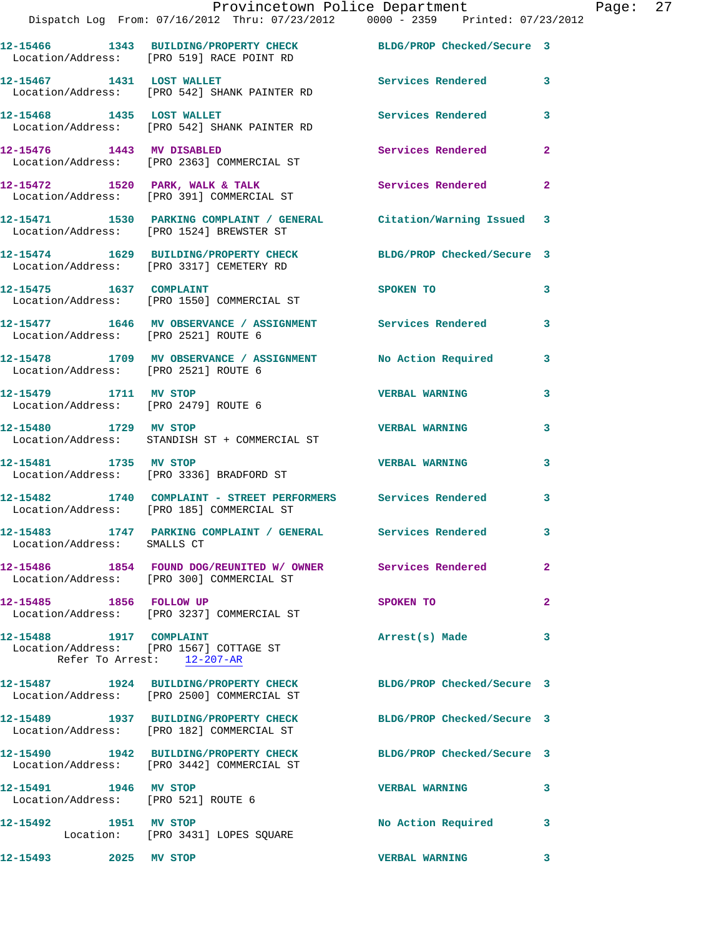|                                      | Provincetown Police Department                                                                                |                          |                |
|--------------------------------------|---------------------------------------------------------------------------------------------------------------|--------------------------|----------------|
|                                      | Dispatch Log From: 07/16/2012 Thru: 07/23/2012 0000 - 2359 Printed: 07/23/2012                                |                          |                |
|                                      | 12-15466 1343 BUILDING/PROPERTY CHECK BLDG/PROP Checked/Secure 3<br>Location/Address: [PRO 519] RACE POINT RD |                          |                |
| 12-15467 1431 LOST WALLET            | Location/Address: [PRO 542] SHANK PAINTER RD                                                                  | Services Rendered        | 3              |
|                                      | 12-15468 1435 LOST WALLET<br>Location/Address: [PRO 542] SHANK PAINTER RD                                     | <b>Services Rendered</b> | 3              |
| 12-15476 1443 MV DISABLED            | Location/Address: [PRO 2363] COMMERCIAL ST                                                                    | Services Rendered        | $\overline{a}$ |
|                                      | 12-15472 1520 PARK, WALK & TALK 1988 Services Rendered<br>Location/Address: [PRO 391] COMMERCIAL ST           |                          | $\mathbf{2}$   |
|                                      | 12-15471 1530 PARKING COMPLAINT / GENERAL Citation/Warning Issued<br>Location/Address: [PRO 1524] BREWSTER ST |                          | 3              |
|                                      | 12-15474 1629 BUILDING/PROPERTY CHECK BLDG/PROP Checked/Secure 3<br>Location/Address: [PRO 3317] CEMETERY RD  |                          |                |
| 12-15475   1637   COMPLAINT          | Location/Address: [PRO 1550] COMMERCIAL ST                                                                    | <b>SPOKEN TO</b>         | 3              |
| Location/Address: [PRO 2521] ROUTE 6 | 12-15477 1646 MV OBSERVANCE / ASSIGNMENT Services Rendered                                                    |                          | 3              |
| Location/Address: [PRO 2521] ROUTE 6 | 12-15478 1709 MV OBSERVANCE / ASSIGNMENT No Action Required                                                   |                          | 3              |
| 12-15479 1711 MV STOP                | Location/Address: [PRO 2479] ROUTE 6                                                                          | <b>VERBAL WARNING</b>    | 3              |
| 12-15480 1729 MV STOP                | Location/Address: STANDISH ST + COMMERCIAL ST                                                                 | <b>VERBAL WARNING</b>    | 3              |
| 12-15481 1735 MV STOP                | Location/Address: [PRO 3336] BRADFORD ST                                                                      | <b>VERBAL WARNING</b>    | 3              |
|                                      | 12-15482 1740 COMPLAINT - STREET PERFORMERS Services Rendered<br>Location/Address: [PRO 185] COMMERCIAL ST    |                          | 3              |
| Location/Address: SMALLS CT          | 12-15483              1747    PARKING COMPLAINT  / GENERAL             Services Rendered                      |                          | 3              |
|                                      | 12-15486 1854 FOUND DOG/REUNITED W/ OWNER Services Rendered<br>Location/Address: [PRO 300] COMMERCIAL ST      |                          | 2              |
|                                      | Location/Address: [PRO 3237] COMMERCIAL ST                                                                    | SPOKEN TO                | 2              |
| 12-15488 1917 COMPLAINT              | Location/Address: [PRO 1567] COTTAGE ST<br>Refer To Arrest: 12-207-AR                                         | Arrest(s) Made           | 3              |
|                                      |                                                                                                               |                          |                |

**12-15487 1924 BUILDING/PROPERTY CHECK BLDG/PROP Checked/Secure 3**  Location/Address: [PRO 2500] COMMERCIAL ST **12-15489 1937 BUILDING/PROPERTY CHECK BLDG/PROP Checked/Secure 3**  Location/Address: [PRO 182] COMMERCIAL ST **12-15490 1942 BUILDING/PROPERTY CHECK BLDG/PROP Checked/Secure 3**  Location/Address: [PRO 3442] COMMERCIAL ST **12-15491 1946 MV STOP VERBAL WARNING 3**  Location/Address: [PRO 521] ROUTE 6 **12-15492 1951 MV STOP No Action Required 3**  Location: [PRO 3431] LOPES SQUARE **12-15493 2025 MV STOP VERBAL WARNING 3**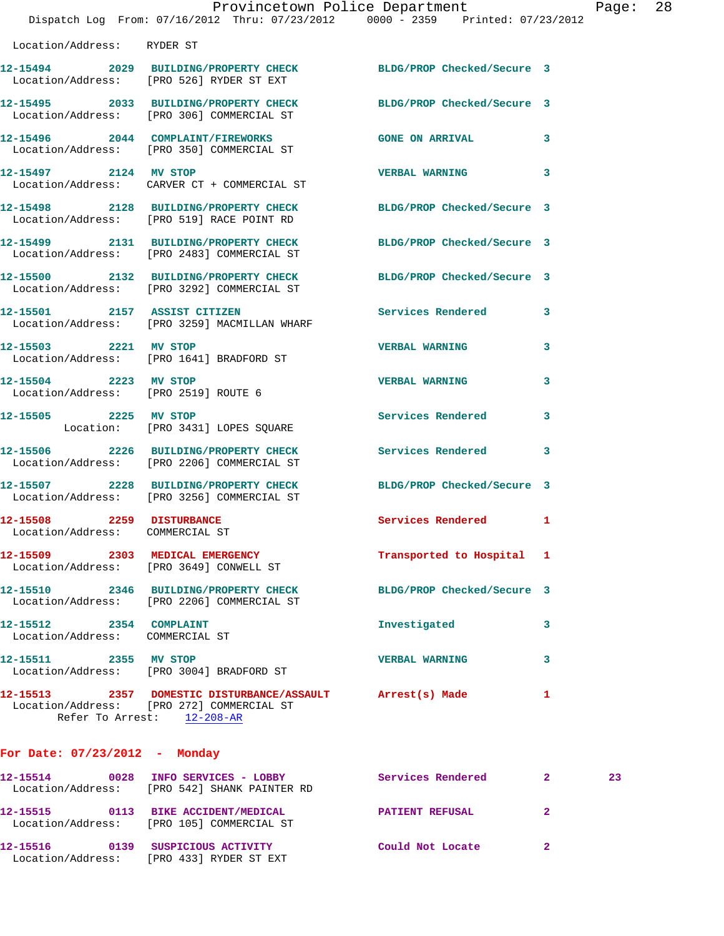|                                                               | Dispatch Log From: 07/16/2012 Thru: 07/23/2012 0000 - 2359 Printed: 07/23/2012                                                       | Provincetown Police Department |                               | Page: | 28 |
|---------------------------------------------------------------|--------------------------------------------------------------------------------------------------------------------------------------|--------------------------------|-------------------------------|-------|----|
| Location/Address: RYDER ST                                    |                                                                                                                                      |                                |                               |       |    |
|                                                               | 12-15494 2029 BUILDING/PROPERTY CHECK BLDG/PROP Checked/Secure 3<br>Location/Address: [PRO 526] RYDER ST EXT                         |                                |                               |       |    |
|                                                               | 12-15495 2033 BUILDING/PROPERTY CHECK BLDG/PROP Checked/Secure 3<br>Location/Address: [PRO 306] COMMERCIAL ST                        |                                |                               |       |    |
|                                                               | 12-15496 2044 COMPLAINT/FIREWORKS GONE ON ARRIVAL 3<br>Location/Address: [PRO 350] COMMERCIAL ST                                     |                                |                               |       |    |
|                                                               | 12-15497 2124 MV STOP<br>Location/Address: CARVER CT + COMMERCIAL ST                                                                 | <b>VERBAL WARNING</b>          | 3                             |       |    |
|                                                               | 12-15498 2128 BUILDING/PROPERTY CHECK BLDG/PROP Checked/Secure 3<br>Location/Address: [PRO 519] RACE POINT RD                        |                                |                               |       |    |
|                                                               | 12-15499 2131 BUILDING/PROPERTY CHECK<br>Location/Address: [PRO 2483] COMMERCIAL ST                                                  | BLDG/PROP Checked/Secure 3     |                               |       |    |
|                                                               | 12-15500 2132 BUILDING/PROPERTY CHECK BLDG/PROP Checked/Secure 3<br>Location/Address: [PRO 3292] COMMERCIAL ST                       |                                |                               |       |    |
|                                                               | 12-15501 2157 ASSIST CITIZEN<br>Location/Address: [PRO 3259] MACMILLAN WHARF                                                         | Services Rendered 3            |                               |       |    |
|                                                               | 12-15503 2221 MV STOP<br>Location/Address: [PRO 1641] BRADFORD ST                                                                    | <b>VERBAL WARNING</b>          | 3                             |       |    |
| 12-15504 2223 MV STOP<br>Location/Address: [PRO 2519] ROUTE 6 |                                                                                                                                      | <b>VERBAL WARNING</b>          | 3                             |       |    |
| 12-15505 2225 MV STOP                                         | Location: [PRO 3431] LOPES SQUARE                                                                                                    | Services Rendered              | 3                             |       |    |
|                                                               | 12-15506 2226 BUILDING/PROPERTY CHECK Services Rendered 3<br>Location/Address: [PRO 2206] COMMERCIAL ST                              |                                |                               |       |    |
|                                                               | 12-15507 2228 BUILDING/PROPERTY CHECK<br>Location/Address: [PRO 3256] COMMERCIAL ST                                                  | BLDG/PROP Checked/Secure 3     |                               |       |    |
| 12-15508 2259 DISTURBANCE<br>Location/Address: COMMERCIAL ST  |                                                                                                                                      | Services Rendered 1            |                               |       |    |
|                                                               | 12-15509 2303 MEDICAL EMERGENCY<br>Location/Address: [PRO 3649] CONWELL ST                                                           | Transported to Hospital 1      |                               |       |    |
|                                                               | 12-15510 2346 BUILDING/PROPERTY CHECK<br>Location/Address: [PRO 2206] COMMERCIAL ST                                                  | BLDG/PROP Checked/Secure 3     |                               |       |    |
| 12-15512 2354 COMPLAINT<br>Location/Address: COMMERCIAL ST    |                                                                                                                                      | Investigated                   | 3                             |       |    |
| 12-15511 2355 MV STOP                                         | Location/Address: [PRO 3004] BRADFORD ST                                                                                             | <b>VERBAL WARNING</b>          | 3                             |       |    |
|                                                               | 12-15513 2357 DOMESTIC DISTURBANCE/ASSAULT Arrest(s) Made<br>Location/Address: [PRO 272] COMMERCIAL ST<br>Refer To Arrest: 12-208-AR |                                | 1                             |       |    |
| For Date: $07/23/2012$ - Monday                               |                                                                                                                                      |                                |                               |       |    |
|                                                               | 12-15514 0028 INFO SERVICES - LOBBY<br>Location/Address: [PRO 542] SHANK PAINTER RD                                                  | Services Rendered              | $\mathbf{2}$ and $\mathbf{2}$ | 23    |    |

**12-15515 0113 BIKE ACCIDENT/MEDICAL PATIENT REFUSAL 2**  Location/Address: [PRO 105] COMMERCIAL ST **12-15516 0139 SUSPICIOUS ACTIVITY Could Not Locate 2**  Location/Address: [PRO 433] RYDER ST EXT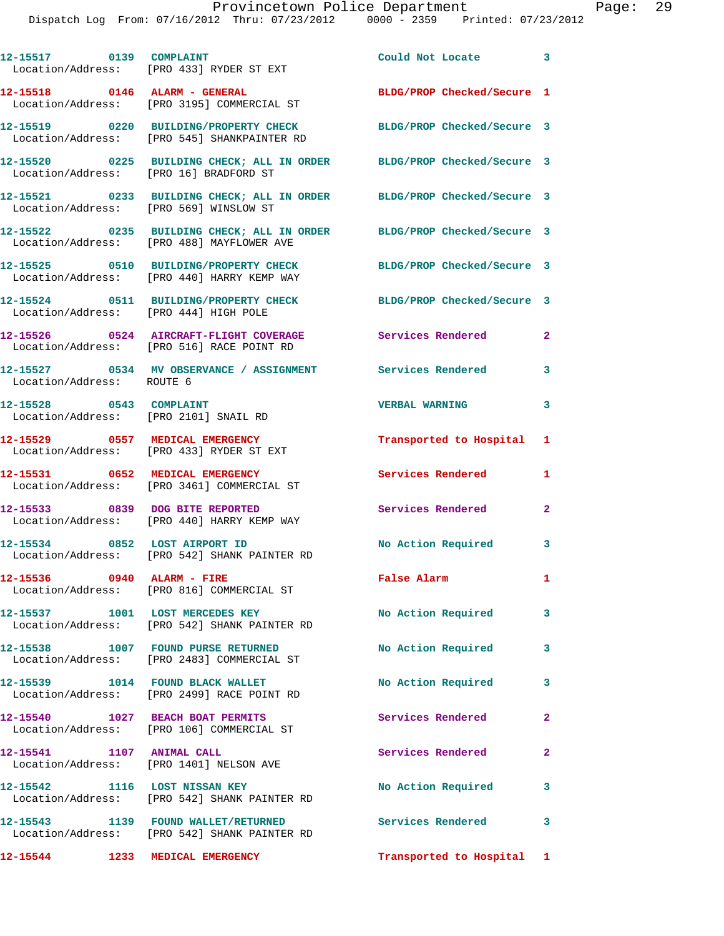| 12-15517 0139 COMPLAINT                                          | Location/Address: [PRO 433] RYDER ST EXT                                                                           | Could Not Locate 3         |                |
|------------------------------------------------------------------|--------------------------------------------------------------------------------------------------------------------|----------------------------|----------------|
|                                                                  | 12-15518 0146 ALARM - GENERAL<br>Location/Address: [PRO 3195] COMMERCIAL ST                                        | BLDG/PROP Checked/Secure 1 |                |
|                                                                  | 12-15519 0220 BUILDING/PROPERTY CHECK BLDG/PROP Checked/Secure 3<br>Location/Address: [PRO 545] SHANKPAINTER RD    |                            |                |
|                                                                  | 12-15520 0225 BUILDING CHECK; ALL IN ORDER BLDG/PROP Checked/Secure 3<br>Location/Address: [PRO 16] BRADFORD ST    |                            |                |
| Location/Address: [PRO 569] WINSLOW ST                           | 12-15521 0233 BUILDING CHECK; ALL IN ORDER BLDG/PROP Checked/Secure 3                                              |                            |                |
|                                                                  | 12-15522 0235 BUILDING CHECK; ALL IN ORDER BLDG/PROP Checked/Secure 3<br>Location/Address: [PRO 488] MAYFLOWER AVE |                            |                |
|                                                                  | 12-15525 0510 BUILDING/PROPERTY CHECK BLDG/PROP Checked/Secure 3<br>Location/Address: [PRO 440] HARRY KEMP WAY     |                            |                |
| Location/Address: [PRO 444] HIGH POLE                            | 12-15524 0511 BUILDING/PROPERTY CHECK                                                                              | BLDG/PROP Checked/Secure 3 |                |
|                                                                  | 12-15526 0524 AIRCRAFT-FLIGHT COVERAGE<br>Location/Address: [PRO 516] RACE POINT RD                                | Services Rendered          | $\mathbf{2}$   |
| Location/Address: ROUTE 6                                        | 12-15527 0534 MV OBSERVANCE / ASSIGNMENT Services Rendered 3                                                       |                            |                |
| 12-15528 0543 COMPLAINT<br>Location/Address: [PRO 2101] SNAIL RD |                                                                                                                    | <b>VERBAL WARNING</b>      | 3              |
|                                                                  | 12-15529 0557 MEDICAL EMERGENCY<br>Location/Address: [PRO 433] RYDER ST EXT                                        | Transported to Hospital 1  |                |
|                                                                  | 12-15531 0652 MEDICAL EMERGENCY<br>Location/Address: [PRO 3461] COMMERCIAL ST                                      | Services Rendered          | $\mathbf{1}$   |
|                                                                  | 12-15533 0839 DOG BITE REPORTED<br>Location/Address: [PRO 440] HARRY KEMP WAY                                      | Services Rendered          | $\mathbf{2}$   |
|                                                                  | 12-15534 0852 LOST AIRPORT ID<br>Location/Address: [PRO 542] SHANK PAINTER RD                                      | No Action Required 3       |                |
| 12-15536 0940 ALARM - FIRE                                       | Location/Address: [PRO 816] COMMERCIAL ST                                                                          | False Alarm                | $\mathbf{1}$   |
|                                                                  | 12-15537 1001 LOST MERCEDES KEY<br>Location/Address: [PRO 542] SHANK PAINTER RD                                    | No Action Required         | 3              |
|                                                                  | 12-15538 1007 FOUND PURSE RETURNED<br>Location/Address: [PRO 2483] COMMERCIAL ST                                   | No Action Required         | 3              |
|                                                                  | 12-15539 1014 FOUND BLACK WALLET<br>Location/Address: [PRO 2499] RACE POINT RD                                     | No Action Required         | 3              |
|                                                                  | 12-15540 1027 BEACH BOAT PERMITS<br>Location/Address: [PRO 106] COMMERCIAL ST                                      | Services Rendered          | $\overline{2}$ |
| 12-15541 1107 ANIMAL CALL                                        | Location/Address: [PRO 1401] NELSON AVE                                                                            | Services Rendered          | $\overline{2}$ |
| 12-15542 1116 LOST NISSAN KEY                                    | Location/Address: [PRO 542] SHANK PAINTER RD                                                                       | No Action Required         | 3              |
|                                                                  | 12-15543 1139 FOUND WALLET/RETURNED<br>Location/Address: [PRO 542] SHANK PAINTER RD                                | <b>Services Rendered</b>   | 3              |
| 12-15544 1233 MEDICAL EMERGENCY                                  |                                                                                                                    | Transported to Hospital 1  |                |